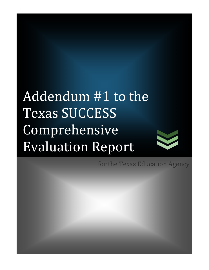# Addendum #1 to the Texas SUCCESS Comprehensive Evaluation Report



for the Texas Education Agency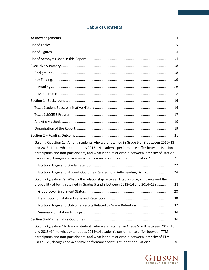# **Table of Contents**

| Guiding Question 1a: Among students who were retained in Grade 5 or 8 between 2012-13<br>and 2013-14, to what extent does 2013-14 academic performance differ between Istation<br>participants and non-participants, and what is the relationship between intensity of Istation<br>usage (i.e., dosage) and academic performance for this student population? 21 |
|------------------------------------------------------------------------------------------------------------------------------------------------------------------------------------------------------------------------------------------------------------------------------------------------------------------------------------------------------------------|
|                                                                                                                                                                                                                                                                                                                                                                  |
| Istation Usage and Student Outcomes Related to STAAR-Reading Gains 24                                                                                                                                                                                                                                                                                            |
| Guiding Question 2a: What is the relationship between Istation program usage and the<br>probability of being retained in Grades 5 and 8 between 2013-14 and 2014-15? 28                                                                                                                                                                                          |
|                                                                                                                                                                                                                                                                                                                                                                  |
|                                                                                                                                                                                                                                                                                                                                                                  |
|                                                                                                                                                                                                                                                                                                                                                                  |
|                                                                                                                                                                                                                                                                                                                                                                  |
|                                                                                                                                                                                                                                                                                                                                                                  |
| Guiding Question 1b: Among students who were retained in Grade 5 or 8 between 2012-13<br>and 2013-14, to what extent does 2013-14 academic performance differ between TTM<br>participants and non-participants, and what is the relationship between intensity of TTM<br>usage (i.e., dosage) and academic performance for this student population? 36           |

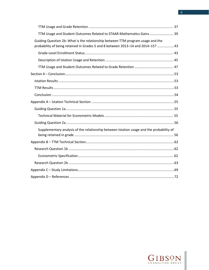| TTM Usage and Student Outcomes Related to STAAR-Mathematics Gains  39                                                                                              |  |
|--------------------------------------------------------------------------------------------------------------------------------------------------------------------|--|
| Guiding Question 2b: What is the relationship between TTM program usage and the<br>probability of being retained in Grades 5 and 8 between 2013-14 and 2014-15? 43 |  |
|                                                                                                                                                                    |  |
|                                                                                                                                                                    |  |
|                                                                                                                                                                    |  |
|                                                                                                                                                                    |  |
|                                                                                                                                                                    |  |
|                                                                                                                                                                    |  |
|                                                                                                                                                                    |  |
|                                                                                                                                                                    |  |
|                                                                                                                                                                    |  |
|                                                                                                                                                                    |  |
|                                                                                                                                                                    |  |
| Supplementary analysis of the relationship between Istation usage and the probability of                                                                           |  |
|                                                                                                                                                                    |  |
|                                                                                                                                                                    |  |
|                                                                                                                                                                    |  |
|                                                                                                                                                                    |  |
|                                                                                                                                                                    |  |
|                                                                                                                                                                    |  |



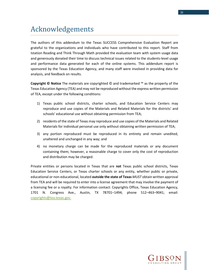# <span id="page-4-0"></span>Acknowledgements

The authors of this addendum to the Texas SUCCESS Comprehensive Evaluation Report are grateful to the organizations and individuals who have contributed to this report. Staff from Istation Reading and Think Through Math provided the evaluation team with system usage data and generously donated their time to discuss technical issues related to the students-level usage and performance data generated for each of the online systems. This addendum report is sponsored by the Texas Education Agency, and many staff were involved in providing data for analysis, and feedback on results.

**Copyright © Notice** The materials are copyrighted © and trademarked ™ as the property of the Texas Education Agency (TEA) and may not be reproduced without the express written permission of TEA, except under the following conditions:

- 1) Texas public school districts, charter schools, and Education Service Centers may reproduce and use copies of the Materials and Related Materials for the districts' and schools' educational use without obtaining permission from TEA;
- 2) residents of the state of Texas may reproduce and use copies of the Materials and Related Materials for individual personal use only without obtaining written permission of TEA;
- 3) any portion reproduced must be reproduced in its entirety and remain unedited, unaltered and unchanged in any way; and
- 4) no monetary charge can be made for the reproduced materials or any document containing them; however, a reasonable charge to cover only the cost of reproduction and distribution may be charged.

Private entities or persons located in Texas that are **not** Texas public school districts, Texas Education Service Centers, or Texas charter schools or any entity, whether public or private, educational or non-educational, located **outside the state of Texas** *MUST* obtain written approval from TEA and will be required to enter into a license agreement that may involve the payment of a licensing fee or a royalty. For information contact: Copyrights Office, Texas Education Agency, 1701 N. Congress Ave., Austin, TX 78701–1494; phone 512–463–9041; email: [copyrights@tea.texas.gov.](mailto:copyrights@tea.texas.gov.)

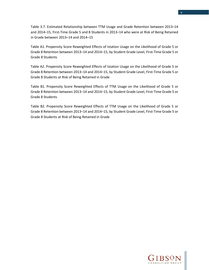Table 3.7. Estimated Relationship between TTM Usage and Grade Retention between 2013–14 and 2014–15, First-Time Grade 5 and 8 Students in 2013–14 who were at Risk of Being Retained in Grade between 2013–14 and 2014–15

Table A1. Propensity Score Reweighted Effects of Istation Usage on the Likelihood of Grade 5 or Grade 8 Retention between 2013–14 and 2014–15, by Student Grade Level, First-Time Grade 5 or Grade 8 Students

Table A2. Propensity Score Reweighted Effects of Istation Usage on the Likelihood of Grade 5 or Grade 8 Retention between 2013–14 and 2014–15, by Student Grade Level, First-Time Grade 5 or Grade 8 Students at Risk of Being Retained in Grade

Table B1. Propensity Score Reweighted Effects of TTM Usage on the Likelihood of Grade 5 or Grade 8 Retention between 2013–14 and 2014–15, by Student Grade Level, First-Time Grade 5 or Grade 8 Students

Table B2. Propensity Score Reweighted Effects of TTM Usage on the Likelihood of Grade 5 or Grade 8 Retention between 2013–14 and 2014–15, by Student Grade Level, First-Time Grade 5 or Grade 8 Students at Risk of Being Retained in Grade

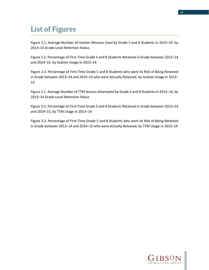# <span id="page-7-0"></span>List of Figures

Figure 2.1. Average Number of Istation Minutes Used by Grade 5 and 8 Students in 2013–14, by 2013–14 Grade-Level Retention Status

Figure 2.2. Percentage of First-Time Grade 5 and 8 Students Retained in Grade between 2013–14 and 2014–15, by Istation Usage in 2013–14

Figure 2.3. Percentage of First-Time Grade 5 and 8 Students who were At Risk of Being Retained in Grade between 2013–14 and 2014–15 who were Actually Retained, by Istation Usage in 2013– 14

Figure 3.1. Average Number of TTM lessons Attempted by Grade 5 and 8 Students in 2013–14, by 2013–14 Grade-Level Retention Status

Figure 3.2. Percentage of First-Time Grade 5 and 8 Students Retained in Grade between 2013–14 and 2014–15, by TTM Usage in 2013–14

Figure 3.3. Percentage of First-Time Grade 5 and 8 Students who were At Risk of Being Retained in Grade between 2013–14 and 2014–15 who were Actually Retained, by TTM Usage in 2013–14

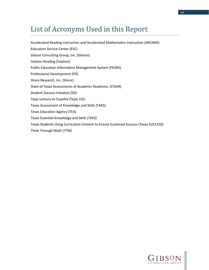# <span id="page-8-0"></span>List of Acronyms Used in this Report

Accelerated Reading Instruction and Accelerated Mathematics Instruction (ARI/AMI) Education Service Center (ESC) Gibson Consulting Group, Inc. (Gibson) Istation Reading (Istation) Public Education Information Management System (PEIMS) Professional Development (PD) Shore Research, Inc. (Shore) State of Texas Assessments of Academic Readiness (STAAR) Student Success Initiative (SSI) Tejas Lectura en Español (Tejas LEE) Texas Assessment of Knowledge and Skills (TAKS) Texas Education Agency (TEA) Texas Essential Knowledge and Skills (TEKS) Texas Students Using Curriculum Content to Ensure Sustained Success (Texas SUCCESS) Think Through Math (TTM)

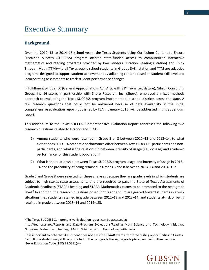# <span id="page-9-0"></span>Executive Summary

#### <span id="page-9-1"></span>**Background**

 $\overline{\phantom{a}}$ 

Over the 2012–13 to 2014–15 school years, the Texas Students Using Curriculum Content to Ensure Sustained Success (SUCCESS) program offered state-funded access to computerized interactive mathematics and reading programs provided by two vendors—Istation Reading (Istation) and Think Through Math (TTM)—to all Texas public school students in Grades 3–8. Istation and TTM are adaptive programs designed to support student achievement by adjusting content based on student skill level and incorporating assessments to track student performance changes.

In fulfillment of Rider 50 (General Appropriations Act, Article III, 83<sup>rd</sup> Texas Legislature), Gibson Consulting Group, Inc. (Gibson), in partnership with Shore Research, Inc. (Shore), employed a mixed-methods approach to evaluating the Texas SUCCESS program implemented in school districts across the state. A few research questions that could not be answered because of data availability in the initial comprehensive evaluation report (published by TEA in January 2015) will be addressed in this addendum report.

This addendum to the Texas SUCCESS Comprehensive Evaluation Report addresses the following two research questions related to Istation and TTM:<sup>[1](#page-9-2)</sup>

- 1) Among students who were retained in Grade 5 or 8 between 2012–13 and 2013–14, to what extent does 2013–14 academic performance differ between Texas SUCCESS participants and nonparticipants, and what is the relationship between intensity of usage (i.e., dosage) and academic performance for this student population?
- 2) What is the relationship between Texas SUCCESS program usage and intensity of usage in 2013– 14 and the probability of being retained in Grades 5 and 8 between 2013–14 and 2014–15?

Grade 5 and Grade 8 were selected for these analyses because they are grade levels in which students are subject to high-stakes state assessments and are required to pass the State of Texas Assessments of Academic Readiness (STAAR)-Reading and STAAR-Mathematics exams to be promoted to the next grade level.<sup>[2](#page-9-3)</sup> In addition, the research questions posed in this addendum are geared toward students in at-risk situations (i.e., students retained in grade between 2012–13 and 2013–14, and students at-risk of being retained in grade between 2013–14 and 2014–15).



<span id="page-9-2"></span><sup>&</sup>lt;sup>1</sup> The Texas SUCCESS Comprehensive Evaluation report can be accessed at

http://tea.texas.gov/Reports\_and\_Data/Program\_Evaluations/Reading\_Math\_Science\_and\_Technology\_Initiatives /Program Evaluation Reading, Math, Science, and Technology Initiatives/

<span id="page-9-3"></span> $2$  It is important to note that if a student does not pass the STAAR exam after three testing opportunities in Grades 5 and 8, the student may still be promoted to the next grade through a grade placement committee decision (Texas Education Code (TEC) 28.0211(e)).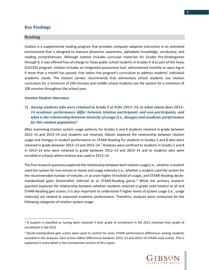#### <span id="page-10-0"></span>**Key Findings**

#### <span id="page-10-1"></span>**Reading**

l

Istation is a supplemental reading program that provides computer-adaptive instruction in an animated environment that is designed to improve phonemic awareness, alphabetic knowledge, vocabulary, and reading comprehension. Although Istation includes curricular materials for Grades Pre-Kindergarten through 8, it was offered free-of-charge to Texas public school students in Grades 3–8 as part of the Texas SUCCESS program. Istation includes an integrated assessment tool, administered monthly or upon log-in if more than a month has passed, that tailors the program's curriculum to address students' individual academic needs. The Istation vendor recommends that elementary school students use Istation curriculum for a minimum of 250 minutes and middle school students use the system for a minimum of 200 minutes throughout the school year.

#### *Istation Student Outcomes*

### *1) Among students who were retained in Grade 5 or 8 for 2013–14, to what extent does 2013– 14 academic performance differ between Istation participants and non-participants, and what is the relationship between intensity of usage (i.e., dosage) and academic performance for this student population?*

After examining Istation system usage patterns for Grades 5 and 8 students retained in grade between 2012–13 and 2013–14 and students not retained, Gibson explored the relationship between Istation usage and changes in student performance on STAAR-Reading for students in Grades 5 and 8 who were retained in grade between 2012–1[3](#page-10-2) and 2013–14.<sup>3</sup> Analyses were confined to students in Grades 5 and 8 in 2013–14 who were retained in grade between 2012–13 and 2013–14 and to students who were enrolled in schools where Istation was used in 2013–14.

The first research questions explored the relationship between both Istation usage (i.e., whether a student used the system for one minute or more) and usage intensity (i.e., whether a student used the system for the recommended number of minutes, or an even higher threshold of usage), and STAAR-Reading decile-standardized gains (hereinafter referred to as STAAR-Reading gains).<sup>[4](#page-10-3)</sup> While the primary research question explored the relationship between whether students retained in grade used Istation at all and STAAR-Reading gain scores, it is also important to understand if higher levels of system usage (i.e., usage intensity) are related to improved academic performance. Therefore, analyses were conducted for the following categories of Istation system usage:



<span id="page-10-2"></span> $3$  A student is classified as having been retained if their grade of enrollment in fall 2012 matched their grade of enrollment in fall 2013.

<span id="page-10-3"></span><sup>4</sup> Decile-standardized gain scores were used to control for prior STAAR performance differences among students included in the analyses. Gain scores reflect differences between 2012–13 and 2013–14 STAAR scale scores. This is explained in more detail in the Introduction section of this report.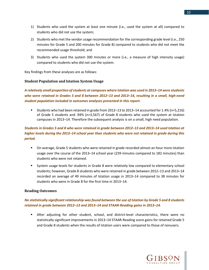- 1) Students who used the system at least one minute (i.e., used the system at all) compared to students who did not use the system;
- 2) Students who met the vendor usage recommendation for the corresponding grade level (i.e., 250 minutes for Grade 5 and 200 minutes for Grade 8) compared to students who did not meet the recommended usage threshold; and
- 3) Students who used the system 300 minutes or more (i.e., a measure of high intensity usage) compared to students who did not use the system.

Key findings from these analyses are as follows:

#### **Student Population and Istation System Usage**

*A relatively small proportion of students at campuses where Istation was used in 2013–14 were students who were retained in Grades 5 and 8 between 2012–13 and 2013–14, resulting in a small, high-need student population included in outcomes analyses presented in this report.*

 Students who had been retained in grade from 2012–13 to 2013–14 accounted for 1.4% (n=5,216) of Grade 5 students and .94% (n=3,567) of Grade 8 students who used the system at Istation campuses in 2013–14. Therefore the subsequent analysis is on a small, high need population.

## *Students in Grades 5 and 8 who were retained in grade between 2012–13 and 2013–14 used Istation at higher levels during the 2013–14 school year than students who were not retained in grade during this period.*

- On average, Grade 5 students who were retained in grade recorded almost an hour more Istation usage over the course of the 2013–14 school year (239 minutes compared to 182 minutes) than students who were not retained.
- System usage levels for students in Grade 8 were relatively low compared to elementary school students; however, Grade 8 students who were retained in grade between 2012–13 and 2013–14 recorded an average of 49 minutes of Istation usage in 2013–14 compared to 38 minutes for students who were in Grade 8 for the first time in 2013–14.

#### **Reading Outcomes**

## *No statistically significant relationship was found between the use of Istation by Grade 5 and 8 students retained in grade between 2012–13 and 2013–14 and STAAR-Reading gains in 2013–14.*

 After adjusting for other student, school, and district-level characteristics, there were no statistically significant improvements in 2013–14 STAAR-Reading score gains for retained Grade 5 and Grade 8 students when the results of Istation users were compared to those of nonusers.

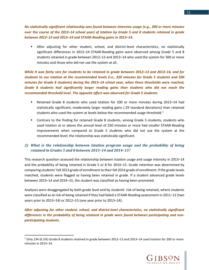*No statistically significant relationship was found between intensive usage (e.g., 300 or more minutes over the course of the 2013–14 school year) of Istation by Grade 5 and 8 students retained in grade between 2012–13 and 2013–14 and STAAR-Reading gains in 2013–14.* 

 After adjusting for other student, school, and district-level characteristics, no statistically significant differences in 2013–14 STAAR-Reading gains were observed among Grade 5 and 8 students retained in grade between 2012–13 and 2013–14 who used the system for 300 or more minutes and those who did not use the system at all.

*While it was fairly rare for students to be retained in grade between 2012–13 and 2013–14, and for students to use Istation at the recommended levels (i.e., 250 minutes for Grade 5 students and 200 minutes for Grade 8 students) during the 2013–14 school year, when these thresholds were reached, Grade 8 students had significantly larger reading gains than students who did not reach the recommended threshold level. The opposite effect was observed for Grade 5 students.*

- Retained Grade 8 students who used Istation for 200 or more minutes during 2013–14 had statistically significant, moderately larger reading gains (.29 standard deviations) than retained students who used the system at levels below the recommended usage threshold.<sup>[5](#page-12-0)</sup>
- Contrary to the finding for retained Grade 8 students, among Grade 5 students, students who used Istation at or above the annual level of 250 minutes or more had smaller STAAR-Reading improvements when compared to Grade 5 students who did not use the system at the recommended level; the relationship was statistically significant.

## *2) What is the relationship between Istation program usage and the probability of being retained in Grades 5 and 8 between 2013–14 and 2014–15?*

This research question assessed the relationship between Istation usage and usage intensity in 2013–14 and the probability of being retained in Grade 5 or 8 for 2014–15. Grade retention was determined by comparing students' fall 2013 grade of enrollment to their fall 2014 grade of enrollment: if the grade levels matched, students were flagged as having been retained in grade. If a student advanced grade levels between 2013–14 and 2014–15, the student was classified as having been promoted.

Analyses were disaggregated by both grade level and by students' risk of being retained, where students were classified as at risk of being retained if they had failed a STAAR-Reading assessment in 2011–12 (two years prior to 2013–14) or 2012–13 (one year prior to 2013–14).

*After adjusting for other student, school, and district-level characteristics, no statistically significant differences in the probability of being retained in grade were found between participating and nonparticipating students.* 

 $\overline{\phantom{a}}$ 



<span id="page-12-0"></span><sup>5</sup> Only 234 (6.5%) Grade 8 students retained in grade between 2012–13 and 2013–14 used Istation for 200 or more minutes in 2013–14.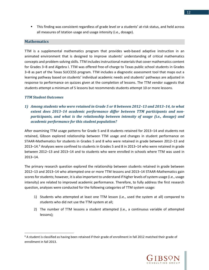This finding was consistent regardless of grade level or a students' at-risk status, and held across all measures of Istation usage and usage intensity (i.e., dosage).

#### <span id="page-13-0"></span>**Mathematics**

TTM is a supplemental mathematics program that provides web-based adaptive instruction in an animated environment that is designed to improve students' understanding of critical mathematics concepts and problem-solving skills. TTM includes instructional materials that cover mathematics content for Grades 3–8 and Algebra I. TTM was offered free-of-charge to Texas public school students in Grades 3–8 as part of the Texas SUCCESS program. TTM includes a diagnostic assessment tool that maps out a learning pathway based on students' individual academic needs and students' pathways are adjusted in response to performance on quizzes given at the completion of lessons. The TTM vendor suggests that students attempt a minimum of 5 lessons but recommends students attempt 10 or more lessons.

#### *TTM Student Outcomes*

 $\overline{\phantom{a}}$ 

*1) Among students who were retained in Grade 5 or 8 between 2012–13 and 2013–14, to what extent does 2013–14 academic performance differ between TTM participants and nonparticipants, and what is the relationship between intensity of usage (i.e., dosage) and academic performance for this student population?*

After examining TTM usage patterns for Grade 5 and 8 students retained for 2013–14 and students not retained, Gibson explored relationship between TTM usage and changes in student performance on STAAR-Mathematics for students in Grades 5 and 8 who were retained in grade between 2012–13 and 2013–14. [6](#page-13-1) Analyses were confined to students in Grades 5 and 8 in 2013–14 who were retained in grade between 2012–13 and 2013–14 and to students who were enrolled in schools where TTM was used in 2013–14.

The primary research question explored the relationship between students retained in grade between 2012–13 and 2013–14 who attempted one or more TTM lessons and 2013–14 STAAR-Mathematics gain scores for students; however, it is also important to understand if higher levels of system usage (i.e., usage intensity) are related to improved academic performance. Therefore, to fully address the first research question, analyses were conducted for the following categories of TTM system usage:

- 1) Students who attempted at least one TTM lesson (i.e., used the system at all) compared to students who did not use the TTM system at all;
- 2) The number of TTM lessons a student attempted (i.e., a continuous variable of attempted lessons);



<span id="page-13-1"></span> $6$  A student is classified as having been retained if their grade of enrollment in fall 2012 matched their grade of enrollment in fall 2013.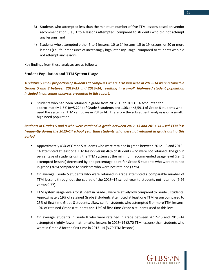- 3) Students who attempted less than the minimum number of five TTM lessons based on vendor recommendation (i.e., 1 to 4 lessons attempted) compared to students who did not attempt any lessons; and
- 4) Students who attempted either 5 to 9 lessons, 10 to 14 lessons, 15 to 19 lessons, or 20 or more lessons (i.e., four measures of increasingly high intensity usage) compared to students who did not attempt any lessons.

Key findings from these analyses are as follows:

#### **Student Population and TTM System Usage**

*A relatively small proportion of students at campuses where TTM was used in 2013–14 were retained in Grades 5 and 8 between 2012–13 and 2013–14, resulting in a small, high-need student population included in outcomes analyses presented in this report.*

• Students who had been retained in grade from 2012–13 to 2013–14 accounted for approximately 1.5% (n=5,224) of Grade 5 students and 1.0% (n=3,591) of Grade 8 students who used the system at TTM campuses in 2013–14. Therefore the subsequent analysis is on a small, high need population.

# *Students in Grades 5 and 8 who were retained in grade between 2012–13 and 2013–14 used TTM less frequently during the 2013–14 school year than students who were not retained in grade during this period.*

- Approximately 43% of Grade 5 students who were retained in grade between 2012–13 and 2013– 14 attempted at least one TTM lesson versus 46% of students who were not retained. The gap in percentage of students using the TTM system at the minimum recommended usage level (i.e., 5 attempted lessons) decreased by one percentage point for Grade 5 students who were retained in grade (36%) compared to students who were not retained (37%).
- On average, Grade 5 students who were retained in grade attempted a comparable number of TTM lessons throughout the course of the 2013–14 school year to students not retained (9.26 versus 9.77).
- **TTM system usage levels for student in Grade 8 were relatively low compared to Grade 5 students.** Approximately 19% of retained Grade 8 students attempted at least one TTM lesson compared to 25% of first-time Grade 8 students. Likewise, for students who attempted 5 or more TTM lessons, 10% of retained Grade 8 students and 15% of first-time Grade 8 students used at this level.
- On average, students in Grade 8 who were retained in grade between 2012–13 and 2013–14 attempted slightly fewer mathematics lessons in 2013–14 (2.70 TTM lessons) than students who were in Grade 8 for the first time in 2013–14 (3.79 TTM lessons).

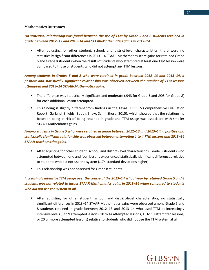#### **Mathematics Outcomes**

#### *No statistical relationship was found between the use of TTM by Grade 5 and 8 students retained in grade between 2012–13 and 2013–14 and STAAR-Mathematics gains in 2013–14.*

 After adjusting for other student, school, and district-level characteristics, there were no statistically significant differences in 2013–14 STAAR-Mathematics score gains for retained Grade 5 and Grade 8 students when the results of students who attempted at least one TTM lesson were compared to those of students who did not attempt any TTM lessons.

# *Among students in Grades 5 and 8 who were retained in grade between 2012–13 and 2013–14, a positive and statistically significant relationship was observed between the number of TTM lessons attempted and 2013–14 STAAR-Mathematics gains.*

- The difference was statistically significant and moderate (.943 for Grade 5 and .905 for Grade 8) for each additional lesson attempted.
- This finding is slightly different from findings in the Texas SUCCESS Comprehensive Evaluation Report (Garland, Shields, Booth, Shaw, Samii-Shore, 2015), which showed that the relationship between being at-risk of being retained in grade and TTM usage was associated with smaller STAAR-Mathematics gains.

# *Among students in Grade 5 who were retained in grade between 2012–13 and 2013–14, a positive and statistically significant relationship was observed between attempting 1 to 4 TTM lessons and 2013–14 STAAR-Mathematics gains.*

- After adjusting for other student, school, and district-level characteristics, Grade 5 students who attempted between one and four lessons experienced statistically significant differences relative to students who did not use the system (.174 standard deviations higher).
- **This relationship was not observed for Grade 8 students.**

# *Increasingly intensive TTM usage over the course of the 2013–14 school year by retained Grade 5 and 8 students was not related to larger STAAR-Mathematics gains in 2013–14 when compared to students who did not use the system at all.*

 After adjusting for other student, school, and district-level characteristics, no statistically significant differences in 2013–14 STAAR-Mathematics gains were observed among Grade 5 and 8 students retained in grade between 2012–13 and 2013–14 who used TTM at increasingly intensive levels (5 to 9 attempted lessons, 10 to 14 attempted lessons, 15 to 19 attempted lessons, or 20 or more attempted lessons) relative to students who did not use the TTM system at all.



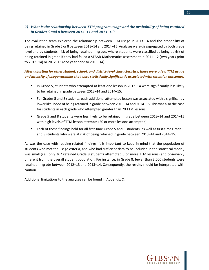# *2) What is the relationship between TTM program usage and the probability of being retained in Grades 5 and 8 between 2013–14 and 2014–15?*

The evaluation team explored the relationship between TTM usage in 2013–14 and the probability of being retained in Grade 5 or 8 between 2013–14 and 2014–15. Analyses were disaggregated by both grade level and by students' risk of being retained in grade, where students were classified as being at risk of being retained in grade if they had failed a STAAR-Mathematics assessment in 2011–12 (two years prior to 2013–14) or 2012–13 (one year prior to 2013–14).

## *After adjusting for other student, school, and district-level characteristics, there were a few TTM usage and intensity of usage variables that were statistically significantly associated with retention outcomes.*

- In Grade 5, students who attempted at least one lesson in 2013–14 were significantly less likely to be retained in grade between 2013–14 and 2014–15.
- For Grades 5 and 8 students, each additional attempted lesson was associated with a significantly lower likelihood of being retained in grade between 2013–14 and 2014–15. This was also the case for students in each grade who attempted greater than 20 TTM lessons.
- Grade 5 and 8 students were less likely to be retained in grade between 2013–14 and 2014–15 with high levels of TTM lesson attempts (20 or more lessons attempted).
- **Each of these findings held for all first-time Grade 5 and 8 students, as well as first-time Grade 5** and 8 students who were at risk of being retained in grade between 2013–14 and 2014–15.

As was the case with reading-related findings, it is important to keep in mind that the population of students who met the usage criteria, and who had sufficient data to be included in the statistical model, was small (i.e., only 367 retained Grade 8 students attempted 5 or more TTM lessons) and observably different from the overall student population. For instance, in Grade 8, fewer than 3,000 students were retained in grade between 2012–13 and 2013–14. Consequently, the results should be interpreted with caution.

Additional limitations to the analyses can be found in Appendix C.

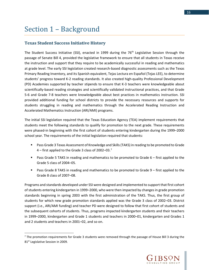# <span id="page-17-0"></span>Section 1 – Background

 $\overline{\phantom{a}}$ 

# <span id="page-17-1"></span>**Texas Student Success Initiative History**

The Student Success Initiative (SSI), enacted in 1999 during the 76<sup>th</sup> Legislative Session through the passage of Senate Bill 4, provided the legislative framework to ensure that all students in Texas receive the instruction and support that they require to be academically successful in reading and mathematics at grade level. The early SSI legislation created research-based diagnostic assessments such as the Texas Primary Reading Inventory, and its Spanish equivalent, Tejas Lectura en Español (Tejas LEE), to determine students' progress toward K-2 reading standards. It also created high-quality Professional Development (PD) Academies supported by teacher stipends to ensure that K-3 teachers were knowledgeable about scientifically-based reading strategies and scientifically validated instructional practices, and that Grade 5-6 and Grade 7-8 teachers were knowledgeable about best practices in mathematics instruction. SSI provided additional funding for school districts to provide the necessary resources and supports for students struggling in reading and mathematics through the Accelerated Reading Instruction and Accelerated Mathematics Instruction (ARI/AMI) programs.

The initial SSI legislation required that the Texas Education Agency (TEA) implement requirements that students meet the following standards to qualify for promotion to the next grade. These requirements were phased-in beginning with the first cohort of students entering kindergarten during the 1999–2000 school year. The requirements of the initial legislation required that students:

- **Pass Grade 3 Texas Assessment of Knowledge and Skills (TAKS) in reading to be promoted to Grade** 4 – first applied to the Grade 3 class of 2002–03.[7](#page-17-2)
- **Pass Grade 5 TAKS in reading and mathematics to be promoted to Grade 6 first applied to the** Grade 5 class of 2004–05.
- **Pass Grade 8 TAKS in reading and mathematics to be promoted to Grade 9 first applied to the** Grade 8 class of 2007–08.

Programs and standards developed under SSI were designed and implemented to support that first cohort of students entering kindergarten in 1999–2000, who were then impacted by changes in grade promotion standards beginning in spring 2003 with the first administration of the TAKS. Thus, the first group of students for which new grade promotion standards applied was the Grade 3 class of 2002–03. District support (i.e., ARI/AMI funding) and teacher PD were designed to follow that first cohort of students and the subsequent cohorts of students. Thus, programs impacted kindergarten students and their teachers in 1999–2000, kindergarten and Grade 1 students and teachers in 2000–01, kindergarten and Grades 1 and 2 students and teachers in 2001–02, and so on.



<span id="page-17-2"></span> $<sup>7</sup>$  The promotion requirements for Grade 3 students were removed through the passage of House Bill 3 during the</sup> 81<sup>st</sup> Legislative Session in 2009.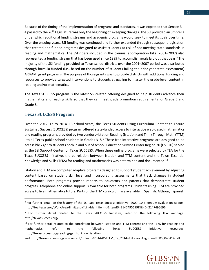Because of the timing of the implementation of programs and standards, it was expected that Senate Bill 4 passed by the 76<sup>th</sup> Legislature was only the beginning of sweeping changes. The SSI provided an umbrella under which additional funding streams and academic programs would seek to meet its goals over time. Over the ensuing years, SSI funding was continued and further expanded through subsequent legislation that created and funded programs designed to assist students at risk of not meeting state standards in reading and mathematics. The SSI riders included in the biennial appropriation bills (2001–2007) also represented a funding stream that has been used since 1999 to accomplish goals laid out that year.<sup>[8](#page-18-1)</sup> The majority of the SSI funding provided to Texas school districts over the 2001–2007 period was distributed through formula-funded (i.e., based on the number of students failing the prior year state assessment) ARI/AMI grant programs. The purpose of those grants was to provide districts with additional funding and resources to provide targeted interventions to students struggling to master the grade-level content in reading and/or mathematics.

The Texas SUCCESS program is the latest SSI-related offering designed to help students advance their mathematics and reading skills so that they can meet grade promotion requirements for Grade 5 and Grade 8.

## <span id="page-18-0"></span>**Texas SUCCESS Program**

l

Over the 2012–13 to 2014–15 school years, the Texas Students Using Curriculum Content to Ensure Sustained Success (SUCCESS) program offered state-funded access to interactive web-based mathematics and reading programs provided by two vendors–Istation Reading (Istation) and Think Through Math (TTM)  $-$ to all Texas public school students in Grades  $3-8.9$  $3-8.9$  These free interactive programs are designed to be accessible 24/7 to students both in and out of school. Education Service Center Region 20 (ESC 20) served as the SSI Support Center for Texas SUCCESS. When these online programs were selected by TEA for the Texas SUCCESS initiative, the correlation between Istation and TTM content and the Texas Essential Knowledge and Skills (TEKS) for reading and mathematics was determined and documented.<sup>[10](#page-18-3)</sup>

Istation and TTM are computer adaptive programs designed to support student achievement by adjusting content based on student skill level and incorporating assessments that track changes in student performance. Both programs provide reports to educators and parents that demonstrate student progress. Telephone and online support is available for both programs. Students using TTM are provided access to live mathematics tutors. Parts of the TTM curriculum are available in Spanish. Although Spanish



<span id="page-18-1"></span><sup>8</sup> For further detail on the history of the SSI, See Texas Success Initiative: 2009–10 Biennium Evaluation Report. http://tea.texas.gov/WorkArea/linkit.aspx?LinkIdentifier=id&ItemID=2147495699&libID=2147495696

<span id="page-18-2"></span><sup>9</sup> For further detail related to the Texas SUCCESS Initiative, refer to the following TEA webpage: http://texassuccess.org/.

<span id="page-18-3"></span> $10$  For further detail related to the correlation between Istation and TTM content and the TEKS for reading and mathematics, refer to the following Texas SUCCESS Initiative resources: http://texassuccess.org/reading/get\_to\_know\_istation

and http://texassuccess.org/wp-content/uploads/2014/05/TTM\_TX\_2014–15LessonAlignmentTEKS\_040414.pdf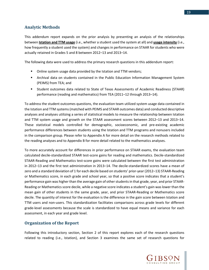<span id="page-20-0"></span>This addendum report expands on the prior analysis by presenting an analysis of the relationships between **Istation and TTM usage** (i.e., whether a student used the system at all) and **usage intensity** (i.e., how frequently a student used the system) and changes in performance on STAAR for students who were actually retained in Grades 5 and 8 between 2012–13 and 2013–14.

The following data were used to address the primary research questions in this addendum report:

- Online system usage data provided by the Istation and TTM vendors;
- Archival data on students contained in the Public Education Information Management System (PEIMS) from TEA; and
- Student outcomes data related to State of Texas Assessments of Academic Readiness (STAAR) performance (reading and mathematics) from TEA (2011–12 through 2013–14).

To address the student outcomes questions, the evaluation team utilized system usage data contained in the Istation and TTM systems (matched with PEIMS and STAAR outcomes data) and conducted descriptive analyses and analyses utilizing a series of statistical models to measure the relationship between Istation and TTM system usage and growth on the STAAR assessment scores between 2012–13 and 2013–14. These statistical models controlled for demographic, socioeconomic, and pre-existing academic performance differences between students using the Istation and TTM programs and nonusers included in the comparison group. Please refer to Appendix A for more detail on the research methods related to the reading analyses and to Appendix B for more detail related to the mathematics analyses.

To more accurately account for differences in prior performance on STAAR exams, the evaluation team calculated decile-standardized STAAR test-score gains for reading and mathematics. Decile-standardized STAAR-Reading and Mathematics test-score gains were calculated between the first test administration in 2012–13 and the first test administration in 2013–14. The decile-standardized scores have a mean of zero and a standard deviation of 1 for each decile based on students' prior-year (2012–13) STAAR-Reading or Mathematics score, in each grade and school year, so that a positive score indicates that a student's performance gain was higher than the average gain of other students in that grade, year, and prior STAAR-Reading or Mathematics score decile, while a negative score indicates a student's gain was lower than the mean gain of other students in the same grade, year, and prior STAAR-Reading or Mathematics score decile. The quantity of interest for the evaluation is the difference in the gain score between Istation and TTM users and non-users. This standardization facilitates comparisons across grade levels for different grade-level assessments because the scale is standardized to have equal means and variance for each assessment, in each year and grade level.

# <span id="page-20-1"></span>**Organization of the Report**

Following this introductory section, Section 2 of this report explores each of the research questions related to reading (i.e., Istation), and Section 3 examines the same set of research questions for

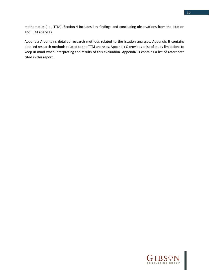mathematics (i.e., TTM). Section 4 includes key findings and concluding observations from the Istation and TTM analyses.

Appendix A contains detailed research methods related to the Istation analyses. Appendix B contains detailed research methods related to the TTM analyses. Appendix C provides a list of study limitations to keep in mind when interpreting the results of this evaluation. Appendix D contains a list of references cited in this report.

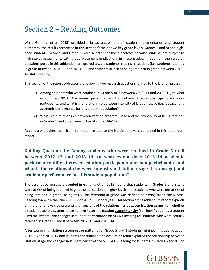# <span id="page-22-0"></span>Section 2 – Reading Outcomes

While Garland, et al (2015) provided a broad assessment of Istation implementation and student outcomes, the results presented in this section focus on two key grade levels (Grades 5 and 8) and highneed students. Grade 5 and Grade 8 were selected for these analyses because students are subject to high-stakes assessments with grade placement implications in these grades. In addition, the research questions posed in this addendum are geared toward students in at-risk situations (i.e., students retained in grade between 2012–13 and 2013–14, and students at-risk of being retained in grade between 2013– 14 and 2014–15).

This section of the report addresses the following two research questions related to the Istation program:

- 1) Among students who were retained in Grade 5 or 8 between 2012–13 and 2013–14, to what extent does 2013–14 academic performance differ between Istation participants and nonparticipants, and what is the relationship between intensity of Istation usage (i.e., dosage) and academic performance for this student population?
- 2) What is the relationship between Istation program usage and the probability of being retained in Grades 5 and 8 between 2013–14 and 2014–15?

Appendix A provides technical information related to the Istation analyses contained in this addendum report.

# <span id="page-22-1"></span>**Guiding Question 1a: Among students who were retained in Grade 5 or 8 between 2012–13 and 2013–14, to what extent does 2013–14 academic performance differ between Istation participants and non-participants, and what is the relationship between intensity of Istation usage (i.e., dosage) and academic performance for this student population?**

The descriptive analysis presented in Garland, et al (2015) found that students in Grades 5 and 8 who were at risk of being retained in grade used Istation at higher levels than students who were not at risk of being retained in grade. Being at risk for retention in grade was defined as having failed the STAAR-Reading exam in either the 2011–12 or 2012–13 school year. This section of the addendum report expands on the prior analysis by presenting an analysis of the relationships between **Istation usage** (i.e., whether a student used the system at least one minute) and **Istation usage intensity** (i.e., how frequently a student used the system) and changes in student performance on STAAR-Reading for students who were actually retained in Grades 5 and 8 between 2012–13 and 2013–14.

After examining Istation system usage patterns for Grade 5 and 8 students retained in grade between 2012–13 and 2013–14 and students not retained, the evaluation team explored the relationship between Istation usage and changes in student performance on STAAR-Reading for students in Grades 5 and 8 who



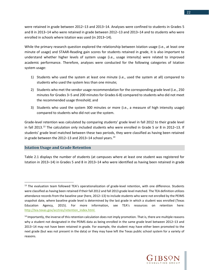were retained in grade between 2012–13 and 2013–14. Analyses were confined to students in Grades 5 and 8 in 2013–14 who were retained in grade between 2012–13 and 2013–14 and to students who were enrolled in schools where Istation was used (in 2013–14).

While the primary research question explored the relationship between Istation usage (i.e., at least one minute of usage) and STAAR-Reading gain scores for students retained in grade, it is also important to understand whether higher levels of system usage (i.e., usage intensity) were related to improved academic performance. Therefore, analyses were conducted for the following categories of Istation system usage:

- 1) Students who used the system at least one minute (i.e., used the system at all) compared to students who used the system less than one minute;
- 2) Students who met the vendor usage recommendation for the corresponding grade level (i.e., 250 minutes for Grades 3–5 and 200 minutes for Grades 6-8) compared to students who did not meet the recommended usage threshold; and
- 3) Students who used the system 300 minutes or more (i.e., a measure of high intensity usage) compared to students who did not use the system.

Grade-level retention was calculated by comparing students' grade level in fall 2012 to their grade level in fall 20[13](#page-23-1).<sup>13</sup> The calculation only included students who were enrolled in Grade 5 or 8 in 2012-13. If students' grade level matched between these two periods, they were classified as having been retained in grade between the 2012–13 and 2013–[14](#page-23-2) school years. $^{14}$ 

## <span id="page-23-0"></span>**Istation Usage and Grade Retention**

 $\overline{a}$ 

Table 2.1 displays the number of students (at campuses where at least one student was registered for Istation in 2013–14) in Grades 5 and 8 in 2013–14 who were identified as having been retained in grade



<span id="page-23-1"></span><sup>&</sup>lt;sup>13</sup> The evaluation team followed TEA's operationalization of grade-level retention, with one difference. Students were classified as having been retained if their fall 2012 and fall 2013 grade level matched. The TEA definition utilizes attendance records from the baseline year (here, 2012–13) to include students who were not enrolled by the PEIMS snapshot date, where baseline grade level is determined by the last grade in which a student was enrolled (Texas Education Agency, 2015). For more information, see TEA's resources on retention here: [http://tea.texas.gov/acctres/retention\\_index.html.](http://tea.texas.gov/acctres/retention_index.html)

<span id="page-23-2"></span><sup>&</sup>lt;sup>14</sup> Importantly, the inverse of this retention calculation does not imply promotion. That is, there are multiple reasons why a student not designated in the PEIMS data as being enrolled in the same grade level between 2012–13 and 2013–14 may not have been retained in grade. For example, the student may have either been promoted to the next grade (but was not present in the data) or they may have left the Texas public school system for a variety of reasons.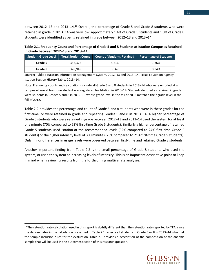between 2012–13 and 2013–14.[15](#page-24-0) Overall, the percentage of Grade 5 and Grade 8 students who were retained in grade in 2013–14 was very low: approximately 1.4% of Grade 5 students and 1.0% of Grade 8 students were identified as being retained in grade between 2012–13 and 2013–14.

**Table 2.1. Frequency Count and Percentage of Grade 5 and 8 Students at Istation Campuses Retained in Grade between 2012–13 and 2013–14** 

| <b>Student Grade Level</b> | Total Student Count | <b>Count of Students Retained</b> | <b>Percentage of Students</b> |
|----------------------------|---------------------|-----------------------------------|-------------------------------|
| Grade 5                    | 382.326             | 5.216                             | 1.36%                         |
| Grade 8                    | 378.948             | 3.567                             | 0.94%                         |

Source: Public Education Information Management System, 2012–13 and 2013–14, Texas Education Agency; Istation Session History Table, 2013–14.

Note: Frequency counts and calculations include all Grade 5 and 8 students in 2013–14 who were enrolled at a campus where at least one student was registered for Istation in 2013–14. Students denoted as retained in grade were students in Grades 5 and 8 in 2012–13 whose grade level in the fall of 2013 matched their grade level in the fall of 2012.

Table 2.2 provides the percentage and count of Grade 5 and 8 students who were in these grades for the first-time, or were retained in grade and repeating Grades 5 and 8 in 2013–14. A higher percentage of Grade 5 students who were retained in grade between 2012–13 and 2013–14 used the system for at least one minute (70% compared to 63% first-time Grade 5 students). Similarly a higher percentage of retained Grade 5 students used Istation at the recommended levels (32% compared to 24% first-time Grade 5 students) or the higher intensity level of 300 minutes (28% compared to 21% first-time Grade 5 students). Only minor differences in usage levels were observed between first-time and retained Grade 8 students.

Another important finding from Table 2.2 is the small percentage of Grade 8 students who used the system, or used the system at increasing levels of intensity. This is an important descriptive point to keep in mind when reviewing results from the forthcoming multivariate analyses.

 $\overline{a}$ 



<span id="page-24-0"></span> $15$  The retention rate calculation used in this report is slightly different than the retention rate reported by TEA, since the denominator in the calculation presented in Table 2.1 reflects all students in Grade 5 or 8 in 2013–14 who met the sample inclusion rules for the evaluation. Table 2.1 provides a description of the composition of the analytic sample that will be used in the outcomes section of this research question.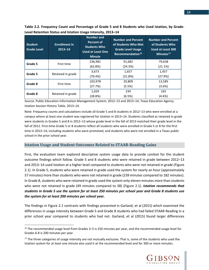**Table 2.2. Frequency Count and Percentage of Grade 5 and 8 Students who Used Istation, by Grade-Level Retention Status and Istation Usage Intensity, 2013–14**

| <b>Student</b><br><b>Grade Level</b> | <b>Enrollment in</b><br>$2013 - 14$ | <b>Number and</b><br><b>Percent of</b><br><b>Students Who</b><br><b>Used at Least One</b><br><b>Minute</b> | <b>Number and Percent</b><br>of Students Who Met<br><b>Grade Level Usage</b><br>Recommendation <sup>16</sup> | <b>Number and Percent</b><br>of Students Who<br><b>Used at Least 300</b><br>Minutes <sup>17</sup> |
|--------------------------------------|-------------------------------------|------------------------------------------------------------------------------------------------------------|--------------------------------------------------------------------------------------------------------------|---------------------------------------------------------------------------------------------------|
| Grade 5                              | First time                          | 236,981                                                                                                    | 91,682                                                                                                       | 79,638                                                                                            |
|                                      |                                     | (62.8%)                                                                                                    | (24.3%)                                                                                                      | (21.1%)                                                                                           |
| Grade 5                              | Retained in grade                   | 3,673                                                                                                      | 1,657                                                                                                        | 1,457                                                                                             |
|                                      |                                     | (70.4%)                                                                                                    | (31.8%)                                                                                                      | (27.9%)                                                                                           |
| Grade 8                              | First time                          | 103,978                                                                                                    | 20,809                                                                                                       | 13,585                                                                                            |
|                                      |                                     | (27.7%)                                                                                                    | (5.5%)                                                                                                       | (3.6%)                                                                                            |
| Grade 8                              | Retained in grade                   | 1,029                                                                                                      | 234                                                                                                          | 165                                                                                               |
|                                      |                                     | (28.8%)                                                                                                    | (6.5%)                                                                                                       | (4.6%)                                                                                            |

Source: Public Education Information Management System, 2012–13 and 2013–14, Texas Education Agency. Istation Session History Table, 2013–14.

Note: Frequency counts and calculations include all Grade 5 and 8 students in 2012–13 who were enrolled at a campus where at least one student was registered for Istation in 2013–14. Students classified as retained in grade were students in Grades 5 and 8 in 2012–13 whose grade level in the fall of 2013 matched their grade level in the fall of 2012. First-time Grade 5 or 8 students reflect all students who were enrolled in Grade 5 or 8 for the first time in 2013–14, including students who were promoted, and students who were not enrolled in a Texas public school in the prior school year.

#### <span id="page-25-0"></span>**Istation Usage and Student Outcomes Related to STAAR-Reading Gains**

First, the evaluation team explored descriptive system usage data to provide context for the student outcome findings which follow. Grade 5 and 8 students who were retained in grade between 2012–13 and 2013–14 used Istation at a higher level compared to students who were not retained in grade (Figure 2.1). In Grade 5, students who were retained in grade used the system for nearly an hour (approximately 57 minutes) more than students who were not retained in grade (239 minutes compared to 182 minutes). In Grade 8, students who were retained in grade used the system only eleven minutes more than students who were not retained in grade (49 minutes compared to 38) (Figure 2.1). *Istation recommends that students in Grade 5 use the system for at least 250 minutes per school year and Grade 8 students use the system for at least 200 minutes per school year.*

The findings in Figure 2.1 contrasts with findings presented in Garland, et al (2015) which examined the differences in usage intensity between Grade 5 and Grade 8 students who had failed STAAR-Reading in a prior school year compared to students who had not. Garland, et al (2015) found larger differences

l



<span id="page-25-1"></span><sup>&</sup>lt;sup>16</sup> The recommended usage level from Grades 3–5 is 250 minutes per year, and the recommended usage level for Grades 6-8 is 200 minutes per year.

<span id="page-25-2"></span><sup>&</sup>lt;sup>17</sup> The three categories of usage intensity are not mutually exclusive. That is, some of the students who used the Istation system for at least one minute also used it at the recommended level and for 300 or more minutes.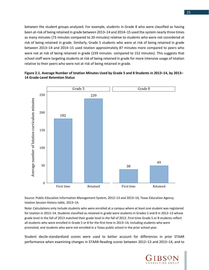between the student groups analyzed. For example, students in Grade 8 who were classified as having been at-risk of being retained in grade between 2013–14 and 2014–15 used the system nearly three times as many minutes (73 minutes compared to 20 minutes) relative to students who were not considered at risk of being retained in grade. Similarly, Grade 5 students who were at risk of being retained in grade between 2013–14 and 2014–15 used Istation approximately 87 minutes more compared to peers who were not at risk of being retained in grade (239 minutes compared to 152 minutes). This suggests that school staff were targeting students at risk of being retained in grade for more intensive usage of Istation relative to their peers who were not at risk of being retained in grade.





Source: Public Education Information Management System, 2012–13 and 2013–14, Texas Education Agency. Istation Session History table, 2013–14.

Note: Calculations only include students who were enrolled at a campus where at least one student was registered for Istation in 2013–14. Students classified as retained in grade were students in Grades 5 and 8 in 2012–13 whose grade level in the fall of 2013 matched their grade level in the fall of 2012. First-time Grade 5 or 8 students reflect all students who were enrolled in Grade 5 or 8 for the first time in 2013–14, including students who were promoted, and students who were not enrolled in a Texas public school in the prior school year.

Student decile-standardized scores were used to better account for differences in prior STAAR performance when examining changes in STAAR-Reading scores between 2012–13 and 2013–14, and to

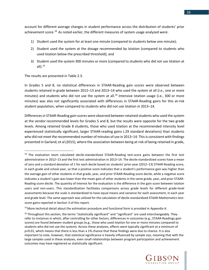26

account for different average changes in student performance across the distribution of students' prior achievement score.<sup>[18](#page-27-0)</sup> As noted earlier, the different measures of system usage analyzed were:

- 1) Student used the system for at least one minute (compared to students below one minute);
- 2) Student used the system at the dosage recommended by Istation (compared to students who used Istation below the prescribed threshold); and
- 3) Student used the system 300 minutes or more (compared to students who did not use Istation at all $)$ .<sup>[19](#page-27-1)</sup>

The results are presented in Table 2.3.

 $\overline{a}$ 

In Grades 5 and 8, no statistical differences in STAAR-Reading gain scores were observed between students retained in grade between 2012–13 and 2013–14 who used the system at all (i.e., one or more minutes) and students who did not use the system at all.<sup>[20](#page-27-2)</sup> Intensive Istation usage (i.e., 300 or more minutes) was also not significantly associated with differences in STAAR-Reading gains for this at-risk student population, when compared to students who did not use Istation in 2013–14.

Differences in STAAR-Reading gain scores were observed between retained students who used the system at the vendor-recommended levels for Grades 5 and 8, but the results were opposite for the two grade levels. Among retained Grade 8 students, those who used Istation at the recommended intensity level experienced statistically significant, larger STAAR-reading gains (.29 standard deviations) than students who did not meet the recommended number of minutes of use in 2013–14. This is consistent with findings presented in Garland, et al (2015), where the association between being at-risk of being retained in grade,

<span id="page-27-2"></span> $^{20}$  Throughout this section, the terms "statistically significant" and "significant" are used interchangeably. They refer to instances in which, after controlling for other factors, differences in outcomes (e.g., STAAR-Readings gain scores) are found between student groups (e.g., those who used Istation for one or more minutes compared to students who did not use the system). Across these analyses, effects were typically significant at a minimum of p<0.01, which means that there is less than a 1% chance that these findings were due to chance. It is also important to note, however, that statistical significance is heavily influenced by sample size, meaning that with the large samples used in these analyses, even small relationships between program participation and achievement outcomes may have registered as statistically significant.



<span id="page-27-0"></span><sup>&</sup>lt;sup>18</sup> The evaluation team calculated decile-standardized STAAR-Reading test-score gains between the first test administration in 2012–13 and the first test administration in 2013–14. The decile-standardized scores have a mean of zero and a standard deviation of 1 for each decile based on students' prior-year (2012–13) STAAR-Reading score, in each grade and school year, so that a positive score indicates that a student's performance gain was higher than the average gain of other students in that grade, year, and prior STAAR-Reading score decile, while a negative score indicates a student's gain was lower than the mean gain of other students in the same grade, year, and prior STAAR-Reading score decile. The quantity of interest for the evaluation is the difference in the gain score between Istation users and non-users. This standardization facilitates comparisons across grade levels for different grade-level assessments because the scale is standardized to have equal means and variance for each assessment, in each year and grade level. The same approach was utilized for the calculation of decile-standardized STAAR-Mathematics testscore gains reported in Section 3 of this report.

<span id="page-27-1"></span><sup>&</sup>lt;sup>19</sup> More technical detail about the estimation procedure and functional form is provided in Appendix A.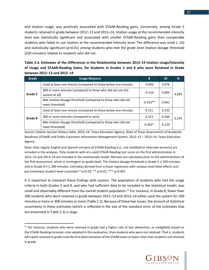and Istation usage, was positively associated with STAAR-Reading gains. Conversely, among Grade 5 students retained in grade between 2012–13 and 2013–14, Istation usage at the recommended intensity level was statistically significant and associated with smaller STAAR-Reading gains than comparable students who failed to use Istation at the recommended intensity level. The difference was small (-.16) and statistically significant (*p<0.01)* among students who met the grade level Istation dosage threshold (250 minutes) relative to students who did not.

| Table 2.3. Estimates of the Differences in the Relationship between 2013-14 Istation Usage/Intensity |
|------------------------------------------------------------------------------------------------------|
| of Usage and STAAR-Reading Gains, for Students in Grades 5 and 8 who were Retained in Grade          |
| between 2012–13 and 2013–14                                                                          |

| Grade   | <b>Usage Measure</b>                                                            | B          | <b>SE</b> | N     |
|---------|---------------------------------------------------------------------------------|------------|-----------|-------|
|         | Used at least one minute (compared to those below one minute)                   | $-0.002$   | 0.076     |       |
| Grade 5 | 300 or more minutes (compared to those who did not use the<br>system at all)    | $-0.124$   | 0.095     | 4,683 |
|         | Met Istation dosage threshold (compared to those who did not<br>meet threshold) | $-0.162**$ | 0.061     |       |
| Grade 8 | Used at least one minute (compared to those below one minute)                   | 0.151      | 0.103     |       |
|         | 300 or more minutes (compared to zero)                                          | 0.313      | 0.160     | 2,234 |
|         | Met Istation dosage threshold (compared to those who did not<br>meet threshold) | $0.292*$   | 0.129     |       |

Source: Istation Session History table, 2013–14, Texas Education Agency. State of Texas Assessments of Academic Readiness (STAAR) and Public Education Information Management System, 2012–13 – 2013–14, Texas Education Agency.

Note: Only regular English and Spanish versions of STAAR-Reading (i.e., not modified or alternate versions) are included in the analyses. Only students with at a valid STAAR-Reading test score on the first administration in 2012–13 and 2013–14 are included in the multivariate model. Minutes are calculated prior to the administration of the first assessment, which is contingent on grade level. The Istation dosage threshold in Grade 5 is 250 minutes, and in Grade 8 it is 200 minutes. Estimates derived from a linear regression with campus-level fixed effects and pre-treatment student-level covariates \* p<0.05; \*\* p<0.01; \*\*\* p<0.001

It is important to interpret these findings with caution. The population of students who met the usage criteria in both Grades 5 and 8, and who had sufficient data to be included in the statistical model, was small and observably different from the overall student population.<sup>[21](#page-28-0)</sup> For instance, in Grade 8, fewer than 300 students who were retained in grade between 2012–13 and 2013–14 either used the system for 200 minutes or more or 300 minutes or more (Table 2.2). Because of these two issues, the amount of statistical uncertainty in these estimates (which is reflected in the size of the standard error of the estimates that are presented in Table 2.3) is large.



<span id="page-28-0"></span><sup>&</sup>lt;sup>21</sup> For instance, students who were retained in grade had a higher rate of test abstention, or ineligibility based on the STAAR-Reading inclusion rules adopted in this evaluation, than students who were not retained. That is, students who were retained in grade took the first administration of the STAAR exam at lower rates than students not retained in grade.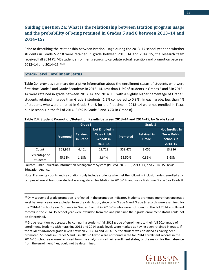# <span id="page-29-0"></span>**Guiding Question 2a: What is the relationship between Istation program usage and the probability of being retained in Grades 5 and 8 between 2013–14 and 2014–15?**

Prior to describing the relationship between Istation usage during the 2013–14 school year and whether students in Grade 5 or 8 were retained in grade between 2013–14 and 2014–15, the research team received fall 2014 PEIMS student enrollment records to calculate actual retention and promotion between 2013-14 and 2014-15.<sup>[22,](#page-29-2)[23](#page-29-3)</sup>

#### <span id="page-29-1"></span>**Grade-Level Enrollment Status**

l

Table 2.4 provides summary descriptive information about the enrollment status of students who were first-time Grade 5 and Grade 8 students in 2013–14. Less than 1.5% of students in Grades 5 and 8 in 2013– 14 were retained in grade between 2013–14 and 2014–15, with a slightly higher percentage of Grade 5 students retained in grade than Grade 8 students (1.2% compared to 0.8%). In each grade, less than 4% of students who were enrolled in Grade 5 or 8 for the first time in 2013–14 were not enrolled in Texas public schools in the fall of 2014 (3.6% in Grade 5 and 3.7% in Grade 8).

|                                  |                 | Grade 5<br>Grade 8          |                                                                     |          |                             |                                                                            |
|----------------------------------|-----------------|-----------------------------|---------------------------------------------------------------------|----------|-----------------------------|----------------------------------------------------------------------------|
|                                  | <b>Promoted</b> | <b>Retained</b><br>in Grade | <b>Not Enrolled in</b><br>Texas Public<br>Schools in<br>$2014 - 15$ | Promoted | <b>Retained in</b><br>Grade | <b>Not Enrolled in</b><br><b>Texas Public</b><br>Schools in<br>$2014 - 15$ |
| Count                            | 358,925         | 4,461                       | 13,718                                                              | 358,472  | 3,055                       | 13,826                                                                     |
| Percentage of<br><b>Students</b> | 95.18%          | 1.18%                       | 3.64%                                                               | 95.50%   | 0.81%                       | 3.68%                                                                      |

**Table 2.4. Student Promotion/Retention Results between 2013–14 and 2014–15, by Grade Level**

Source: Public Education Information Management System (PEIMS), 2012–13, 2013–14, and 2014–15, Texas Education Agency.

Note: Frequency counts and calculations only include students who met the following inclusion rules: enrolled at a campus where at least one student was registered for Istation in 2013–14; and was a first-time Grade 5 or Grade 8



<span id="page-29-2"></span><sup>&</sup>lt;sup>22</sup> Only sequential grade promotion is reflected in the promotion indicator. Students promoted more than one grade level between years are excluded from the calculation, since only Grade 6 and Grade 9 records were examined for the 2014–15 school year. Students in Grades 5 and 8 in 2013–14 who were not found in the fall 2014 enrollment records in the 2014–15 school year were excluded from the analysis since their grade enrollment status could not be determined.

<span id="page-29-3"></span><sup>&</sup>lt;sup>23</sup> Grade retention was created by comparing students' fall 2013 grade of enrollment to their fall 2014 grade of enrollment. Students with matching 2013 and 2014 grade levels were marked as having been retained in grade. If the student advanced grade levels between 2013–14 and 2014–15, the student was classified as having been promoted. Students in Grades 5 and 8 in 2013–14 who were not found in the fall 2014 enrollment records in the 2014–15 school year were removed from the analysis since their enrollment status, or the reason for their absence from the enrollment files, could not be determined.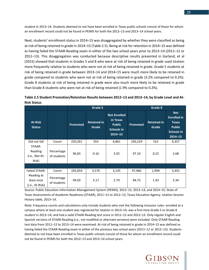student in 2013–14. Students deemed to not have been enrolled in Texas public schools consist of those for whom an enrollment record could not be found in PEIMS for both the 2012–13 and 2013–14 school years.

Next, students' enrollment status in 2014–15 was disaggregated by whether they were classified as being at risk of being retained in grade in 2014–15 (Table 2.5). Being at risk for retention in 2014–15 was defined as having failed the STAAR-Reading exam in either of the two school years prior to 2013–14 (2011–12 or 2012–13). This disaggregation was conducted because descriptive results presented in Garland, et al (2015) showed that students in Grades 5 and 8 who were at risk of being retained in grade used Istation more frequently relative to students who were not at risk of being retained in grade. Grade 5 students at risk of being retained in grade between 2013–14 and 2014–15 were much more likely to be retained in grade compared to students who were not at risk of being retained in grade (3.2% compared to 0.2%). Grade 8 students at risk of being retained in grade were also much more likely to be retained in grade than Grade 8 students who were not at risk of being retained (1.9% compared to 0.2%).

| Table 2.5 Student Promotion/Retention Results between 2012-13 and 2013-14, by Grade Level and At- |  |
|---------------------------------------------------------------------------------------------------|--|
| <b>Risk Status</b>                                                                                |  |

|                                              |                           |          | Grade 5                     |                                                                               | Grade 8  |                             |                                                                                                       |  |
|----------------------------------------------|---------------------------|----------|-----------------------------|-------------------------------------------------------------------------------|----------|-----------------------------|-------------------------------------------------------------------------------------------------------|--|
|                                              |                           | Promoted | <b>Retained in</b><br>Grade | <b>Not Enrolled</b><br>in Texas<br><b>Public</b><br>Schools in<br>$2014 - 15$ | Promoted | <b>Retained in</b><br>Grade | <b>Not</b><br><b>Enrolled in</b><br><b>Texas</b><br><b>Public</b><br><b>Schools in</b><br>$2014 - 15$ |  |
| Did not fail                                 | Count                     | 220,261  | 354                         | 6,861                                                                         | 230,229  | 522                         | 6,357                                                                                                 |  |
| STAAR-<br>Reading<br>(i.e., Not At-<br>Risk) | Percentage<br>of students | 96.83    | 0.16                        | 3.02                                                                          | 97.10    | 0.22                        | 2.68                                                                                                  |  |
|                                              |                           |          |                             |                                                                               |          |                             |                                                                                                       |  |
| <b>Failed STAAR-</b>                         | Count                     | 105,854  | 3,570                       | 3,145                                                                         | 97,966   | 1,994                       | 3,455                                                                                                 |  |
| Reading at<br>least once<br>(i.e., At-Risk)  | Percentage<br>of students | 94.03    | 3.17                        | 2.79                                                                          | 94.73    | 1.93                        | 3.34                                                                                                  |  |

Source: Public Education Information Management System (PEIMS), 2012–13, 2013–14, and 2014–15; State of Texas Assessments of Academic Readiness (STAAR), 2011–12 to 2012–13, Texas Education Agency. Istation Session History table, 2013–14.

Note: Frequency counts and calculations only include students who met the following inclusion rules: enrolled at a campus where at least one student was registered for Istation in 2013–14; was a first-time Grade 5 or Grade 8 student in 2013–14; and had a valid STAAR-Reading test score in 2011–12 and 2012–13. Only regular English and Spanish versions of STAAR-Reading (i.e., not modified or alternate versions) were included. Only STAAR-Reading test data from 2011–12 to 2013–14 were examined. At risk of being retained in grade in 2014–15 was defined as having failed the STAAR-Reading exam in either of the previous two school years (2011–12 or 2012–13). Students deemed to not have been enrolled in Texas public schools consist of those for whom an enrollment record could not be found in PEIMS for both the 2012–13 and 2013–14 school years.

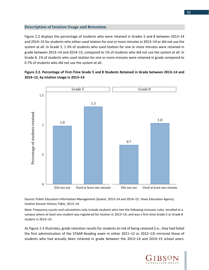#### <span id="page-31-0"></span>**Description of Istation Usage and Retention**

Figure 2.2 displays the percentage of students who were r etained in Grades 5 and 8 between 2013–14 and 2014–15 for students who either used Istation for one o r more minutes in 2013–14 or did not use the system at all. In Grade 5, 1.3% of students who used Istation for one or more minutes were retained in grade between 2013–14 and 2014–15, compared to 1% of s tudents who did not use the system at all. In Grade 8, 1% of students who used Istation for one or more minutes were retained in grade compared to 0.7% of students who did not use the system at all.

### Figure 2.2. Percentage of First-Time Grade 5 and 8 Students Retained in Grade between 2013-14 and **2014–15, by Istation Usage in 2013–14**



Source: Public Education Information Management System, 2013–14 and 2014–15, Texas Education Agency. Istation Session History Table, 2013–14.

Note: Frequency counts and calculations only include students who met the following inclusion rules: enrolled at a campus where at least one student was registered for Istation in 2013–14; and was a first-time Grade 5 or Grade 8 student in 2013–14.

As Figure 2.3 illustrates, grade retention results for students at-risk of being retained (i.e., they had failed the first administration of the STAAR-Reading exam in either 2011–12 or 2012–13) mirrored those of students who had actually been retained in grade between the 2013–14 and 2014–15 school years.

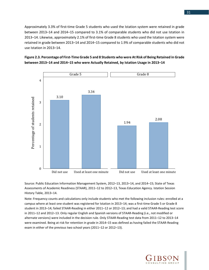Approximately 3.3% of first-time Grade 5 students who used the Istation system were retained in grade between 2013–14 and 2014–15 compared to 3.1% of comparable students who did not use Istation in 2013–14. Likewise, approximately 2.1% of first-time Grade 8 students who used the Istation system were retained in grade between 2013–14 and 2014–15 compared to 1.9% of comparable students who did not use Istation in 2013–14.





Source: Public Education Information Management System, 2012–13, 2013–14, and 2014–15; State of Texas Assessments of Academic Readiness (STAAR), 2011–12 to 2012–13, Texas Education Agency. Istation Session History Table, 2013–14.

Note: Frequency counts and calculations only include students who met the following inclusion rules: enrolled at a campus where at least one student was registered for Istation in 2013–14; was a first-time Grade 5 or Grade 8 student in 2013–14; failed STAAR-Reading in either 2011–12 or 2012–13; and had a valid STAAR-Reading test score in 2011–12 and 2012–13. Only regular English and Spanish versions of STAAR-Reading (i.e., not modified or alternate versions) were included in the decision rule. Only STAAR-Reading test data from 2011–12 to 2013–14 were examined. Being at risk for retention in grade in 2014–15 was defined as having failed the STAAR-Reading exam in either of the previous two school years (2011–12 or 2012–13).

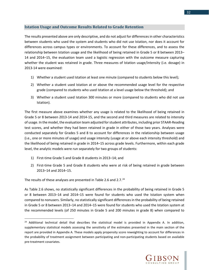#### <span id="page-33-0"></span>**Istation Usage and Outcome Results Related to Grade Retention**

The results presented above are only descriptive, and do not adjust for differences in other characteristics between students who used the system and students who did not use Istation, nor does it account for differences across campus types or environments. To account for these differences, and to assess the relationship between Istation usage and the likelihood of being retained in Grade 5 or 8 between 2013– 14 and 2014–15, the evaluation team used a logistic regression with the outcome measure capturing whether the student was retained in grade. Three measures of Istation usage/intensity (i.e. dosage) in 2013-14 were examined:

- 1) Whether a student used Istation at least one minute (compared to students below this level);
- 2) Whether a student used Istation at or above the recommended usage level for the respective grade (compared to students who used Istation at a level usage below the threshold); and
- 3) Whether a student used Istation 300 minutes or more (compared to students who did not use Istation).

The first measure above examines whether any usage is related to the likelihood of being retained in Grade 5 or 8 between 2013-14 and 2014-15, and the second and third measures are related to intensity of usage. In the model, the evaluation team adjusted for student attributes, including prior STAAR-Reading test scores, and whether they had been retained in grade in either of those two years. Analyses were conducted separately for Grades 5 and 8 to account for differences in the relationship between usage (i.e., one or more minutes of usage) and usage intensity (usage at or above each intensity threshold) and the likelihood of being retained in grade in 2014–15 across grade levels. Furthermore, within each grade level, the analytic models were run separately for two groups of students:

- 1) First-time Grade 5 and Grade 8 students in 2013–14; and
- 2) First-time Grade 5 and Grade 8 students who were at risk of being retained in grade between 2013–14 and 2014–15.

The results of these analyses are presented in Table 2.6 and 2.7. $^{24}$  $^{24}$  $^{24}$ 

l

As Table 2.6 shows, no statistically significant differences in the probability of being retained in Grade 5 or 8 between 2013–14 and 2014–15 were found for students who used the Istation system when compared to nonusers. Similarly, no statistically significant differences in the probability of being retained in Grade 5 or 8 between 2013–14 and 2014–15 were found for students who used the Istation system at the recommended levels (of 250 minutes in Grade 5 and 200 minutes in grade 8) when compared to



<span id="page-33-1"></span><sup>&</sup>lt;sup>24</sup> Additional technical detail that describes the statistical model is provided in Appendix A. In addition, supplementary statistical models assessing the sensitivity of the estimates presented in the main section of the report are provided in Appendix A. These models apply propensity score reweighting to account for differences in the probability of treatment assignment between participating and non-participating students based on available pre-treatment covariates.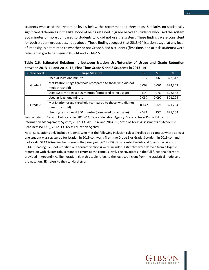students who used the system at levels below the recommended thresholds. Similarly, no statistically significant differences in the likelihood of being retained in grade between students who used the system 300 minutes or more compared to students who did not use the system. These findings were consistent for both student groups described above. These findings suggest that 2013–14 Istation usage, at any level of intensity, is not related to whether or not Grade 5 and 8 students (first-time, and at-risk students) were retained in grade between 2013–14 and 2014–15.

|  |  |  | Table 2.6. Estimated Relationship between Istation Use/Intensity of Usage and Grade Retention |  |  |  |
|--|--|--|-----------------------------------------------------------------------------------------------|--|--|--|
|  |  |  | between 2013-14 and 2014-15, First-Time Grade 5 and 8 Students in 2013-14                     |  |  |  |

| <b>Grade Level</b> | <b>Usage Measure</b>                                                           | B        | <b>SE</b> | N       |
|--------------------|--------------------------------------------------------------------------------|----------|-----------|---------|
| Grade 5            | Used at least one minute                                                       | 0.112    | 0.066     | 322,342 |
|                    | Met Istation usage threshold (compared to those who did not<br>meet threshold) | 0.068    | 0.061     | 322,342 |
|                    | Used system at least 300 minutes (compared to no usage)                        | .114     | .076      | 322,342 |
| Grade 8            | Used at least one minute                                                       | 0.037    | 0.097     | 321,204 |
|                    | Met Istation usage threshold (compared to those who did not<br>meet threshold) | $-0.147$ | 0.121     | 321,204 |
|                    | Used system at least 300 minutes (compared to no usage)                        | $-0.089$ | .157      | 321,204 |

Source: Istation Session History table, 2013–14, Texas Education Agency. State of Texas Public Education Information Management System, 2012–13, 2013–14, and 2014–15; State of Texas Assessments of Academic Readiness (STAAR), 2012–13, Texas Education Agency.

Note: Calculations only include students who met the following inclusion rules: enrolled at a campus where at least one student was registered for Istation in 2013–14; was a first-time Grade 5 or Grade 8 student in 2013–14; and had a valid STAAR-Reading test score in the prior year (2012–13). Only regular English and Spanish versions of STAAR-Reading (i.e., not modified or alternate versions) were included. Estimates were derived from a logistic regression with cluster-robust standard errors at the campus level. The covariates in the full functional form are provided in Appendix A. The notation, *B*, in this table refers to the logit coefficient from the statistical model and the notation, SE, refers to the standard error.

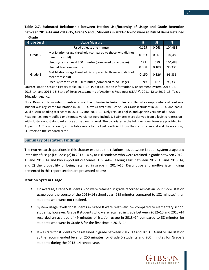**Table 2.7. Estimated Relationship between Istation Use/Intensity of Usage and Grade Retention between 2013–14 and 2014–15, Grade 5 and 8 Students in 2013–14 who were at Risk of Being Retained in Grade**

| <b>Grade Level</b> | <b>Usage Measure</b>                                                           | B        | <b>SE</b> | N       |
|--------------------|--------------------------------------------------------------------------------|----------|-----------|---------|
| Grade 5            | Used at least one minute                                                       | 0.125    | 0.068     | 104,488 |
|                    | Met Istation usage threshold (compared to those who did not<br>meet threshold) | 0.063    | 0.061     | 104,488 |
|                    | Used system at least 300 minutes (compared to no usage)                        | .121     | .079      | 104,488 |
| Grade 8            | Used at least one minute                                                       | 0.038    | 0.109     | 96,336  |
|                    | Met Istation usage threshold (compared to those who did not<br>meet threshold) | $-0.150$ | 0.126     | 96,336  |
|                    | Used system at least 300 minutes (compared to no usage)                        | $-.099$  | .167      | 96,336  |

Source: Istation Session History table, 2013–14. Public Education Information Management System, 2012–13, 2013–14, and 2014–15; State of Texas Assessments of Academic Readiness (STAAR), 2011–12 to 2012–13, Texas Education Agency.

Note: Results only include students who met the following inclusion rules: enrolled at a campus where at least one student was registered for Istation in 2013–14; was a first-time Grade 5 or Grade 8 student in 2013–14; and had a valid STAAR-Reading test score in 2011–12 and 2012–13. Only regular English and Spanish versions of STAAR-Reading (i.e., not modified or alternate versions) were included. Estimates were derived from a logistic regression with cluster-robust standard errors at the campus level. The covariates in the full functional form are provided in Appendix A. The notation, B, in this table refers to the logit coefficient from the statistical model and the notation, SE, refers to the standard error.

#### <span id="page-35-0"></span>**Summary of Istation Findings**

The two research questions in this chapter explored the relationships between Istation system usage and intensity of usage (i.e., dosage) in 2013–14 by at-risk students who were retained in grade between 2012– 13 and 2013–14 and two important outcomes: 1) STAAR-Reading gains between 2012–13 and 2013–14; and 2) the probability of being retained in grade in 2014–15. Descriptive and multivariate findings presented in this report section are presented below:

#### **Istation System Usage**

- **On average, Grade 5 students who were retained in grade recorded almost an hour more Istation** usage over the course of the 2013–14 school year (239 minutes compared to 182 minutes) than students who were not retained.
- System usage levels for students in Grade 8 were relatively low compared to elementary school students; however, Grade 8 students who were retained in grade between 2012–13 and 2013–14 recorded an average of 49 minutes of Istation usage in 2013–14 compared to 38 minutes for students who were in Grade 8 for the first time in 2013–14.
- It was rare for students to be retained in grade between 2012–13 and 2013–14 and to use Istation at the recommended level of 250 minutes for Grade 5 students and 200 minutes for Grade 8 students during the 2013–14 school year.



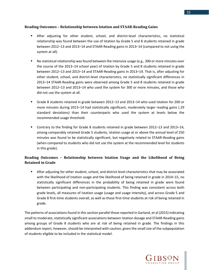#### **Reading Outcomes – Relationship between Istation and STAAR-Reading Gains**

- After adjusting for other student, school, and district-level characteristics, no statistical relationship was found between the use of Istation by Grade 5 and 8 students retained in grade between 2012–13 and 2013–14 and STAAR-Reading gains in 2013–14 (compared to not using the system at all).
- **No statistical relationship was found between the intensive usage (e.g., 300 or more minutes over** the course of the 2013–14 school year) of Istation by Grade 5 and 8 students retained in grade between 2012–13 and 2013–14 and STAAR-Reading gains in 2013–14. That is, after adjusting for other student, school, and district-level characteristics, no statistically significant differences in 2013–14 STAAR-Reading gains were observed among Grade 5 and 8 students retained in grade between 2012–13 and 2013–14 who used the system for 300 or more minutes, and those who did not use the system at all.
- Grade 8 students retained in grade between 2012–13 and 2013–14 who used Istation for 200 or more minutes during 2013–14 had statistically significant, moderately larger reading gains (.29 standard deviations) than their counterparts who used the system at levels below the recommended usage threshold.
- Contrary to the finding for Grade 8 students retained in grade between 2012–13 and 2013–14, among comparably retained Grade 5 students, Istation usage at or above the annual level of 250 minutes was found to be statistically significant, but negatively related to STAAR-Reading gains (when compared to students who did not use the system at the recommended level for students in this grade).

## **Reading Outcomes – Relationship between Istation Usage and the Likelihood of Being Retained in Grade**

**EXTER After adjusting for other student, school, and district-level characteristics that may be associated** with the likelihood of Istation usage and the likelihood of being retained in grade in 2014–15, no statistically significant differences in the probability of being retained in grade were found between participating and non-participating students. This finding was consistent across both grade levels, all measures of Istation usage (usage and usage intensity), and across Grade 5 and Grade 8 first-time students overall, as well as those first-time students at risk of being retained in grade.

The patterns of associations found in this section parallel those reported in Garland, et al (2015) indicating small to moderate, statistically significant associations between Istation dosage and STAAR-Reading gains among groups of Grade 8 students who are at risk of being retained in grade. The findings in this addendum report, however, should be interpreted with caution, given the small size of the subpopulation of students eligible to be included in the statistical model.

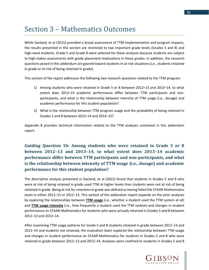## Section 3 – Mathematics Outcomes

While Garland, et al (2015) provided a broad assessment of TTM implementation and program impacts, the results presented in this section are restricted to two important grade levels (Grades 5 and 8) and high-need students. Grade 5 and Grade 8 were selected for these analyses because students are subject to high-stakes assessments with grade placement implications in these grades. In addition, the research questions posed in this addendum are geared toward students in at-risk situations (i.e., students retained in grade or at-risk of being retained in grade).

This section of the report addresses the following two research questions related to the TTM program:

- 1) Among students who were retained in Grade 5 or 8 between 2012–13 and 2013–14, to what extent does 2013–14 academic performance differ between TTM participants and nonparticipants, and what is the relationship between intensity of TTM usage (i.e., dosage) and academic performance for this student population?
- 2) What is the relationship between TTM program usage and the probability of being retained in Grades 5 and 8 between 2013–14 and 2014–15?

Appendix B provides technical information related to the TTM analyses contained in this addendum report.

## **Guiding Question 1b: Among students who were retained in Grade 5 or 8 between 2012–13 and 2013–14, to what extent does 2013–14 academic performance differ between TTM participants and non-participants, and what is the relationship between intensity of TTM usage (i.e., dosage) and academic performance for this student population?**

The descriptive analysis presented in Garland, et al (2015) found that students in Grades 5 and 8 who were at risk of being retained in grade used TTM at higher levels than students were not at risk of being retained in grade. Being at risk for retention in grade was defined as having failed the STAAR-Mathematics exam in either 2011–12 or 2012–13. This section of the addendum report expands on the prior analyses by exploring the relationships between **TTM usage** (i.e., whether a student used the TTM system at all) and **TTM usage intensity** (i.e., how frequently a student used the TTM system) and changes in student performance on STAAR-Mathematics for students who were actually retained in Grades 5 and 8 between 2012–13 and 2013–14.

After examining TTM usage patterns for Grade 5 and 8 students retained in grade between 2012–13 and 2013–14 and students not retained, the evaluation team explored the relationship between TTM usage and changes in student performance on STAAR-Mathematics for students in Grades 5 and 8 who were retained in grade between 2012–13 and 2013–14. Analyses were confined to students in Grades 5 and 8



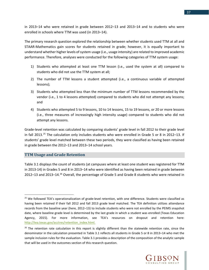in 2013–14 who were retained in grade between 2012–13 and 2013–14 and to students who were enrolled in schools where TTM was used (in 2013–14).

The primary research question explored the relationship between whether students used TTM at all and STAAR-Mathematics gain scores for students retained in grade; however, it is equally important to understand whether higher levels of system usage (i.e., usage intensity) are related to improved academic performance. Therefore, analyses were conducted for the following categories of TTM system usage:

- 1) Students who attempted at least one TTM lesson (i.e., used the system at all) compared to students who did not use the TTM system at all;
- 2) The number of TTM lessons a student attempted (i.e., a continuous variable of attempted lessons);
- 3) Students who attempted less than the minimum number of TTM lessons recommended by the vendor (i.e., 1 to 4 lessons attempted) compared to students who did not attempt any lessons; and
- 4) Students who attempted 5 to 9 lessons, 10 to 14 lessons, 15 to 19 lessons, or 20 or more lessons (i.e., three measures of increasingly high intensity usage) compared to students who did not attempt any lessons.

Grade-level retention was calculated by comparing students' grade level in fall 2012 to their grade level in fall 2013.<sup>[25](#page-38-0)</sup> The calculation only includes students who were enrolled in Grade 5 or 8 in 2012–13. If students' grade level matched between these two periods, they were classified as having been retained in grade between the 2012–13 and 2013–14 school years.

#### **TTM Usage and Grade Retention**

l

Table 3.1 displays the count of students (at campuses where at least one student was registered for TTM in 2013-14) in Grades 5 and 8 in 2013–14 who were identified as having been retained in grade between 2012-13 and 2013-14.<sup>[26](#page-38-1)</sup> Overall, the percentage of Grade 5 and Grade 8 students who were retained in



<span id="page-38-0"></span><sup>&</sup>lt;sup>25</sup> We followed TEA's operationalization of grade-level retention, with one difference. Students were classified as having been retained if their fall 2012 and fall 2013 grade level matched. The TEA definition utilizes attendance records from the baseline year (here, 2012–13) to include students who were not enrolled by the PEIMS snapshot date, where baseline grade level is determined by the last grade in which a student was enrolled (Texas Education Agency, 2015). For more information, see TEA's resources on dropout and retention here: [http://tea.texas.gov/acctres/retention\\_index.html.](http://tea.texas.gov/acctres/retention_index.html)

<span id="page-38-1"></span> $26$  The retention rate calculation in this report is slightly different than the statewide retention rate, since the denominator in the calculation presented in Table 3.1 reflects all students in Grade 5 or 8 in 2013–14 who met the sample inclusion rules for the evaluation. Table 3.1 provides a description of the composition of the analytic sample that will be used in the outcomes section of this research question.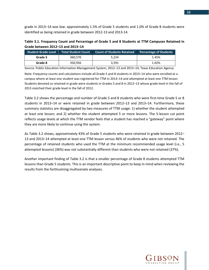grade in 2013–14 was low: approximately 1.5% of Grade 5 students and 1.0% of Grade 8 students were identified as being retained in grade between 2012-13 and 2013-14.

| Table 3.1. Frequency Count and Percentage of Grade 5 and 8 Students at TTM Campuses Retained in |  |
|-------------------------------------------------------------------------------------------------|--|
| Grade between 2012-13 and 2013-14                                                               |  |

| <b>Student Grade Level</b> | <b>Total Student Count</b> | Count of Students Retained | <b>Percentage of Students</b> |
|----------------------------|----------------------------|----------------------------|-------------------------------|
| Grade 5                    | 360.570                    | 5.224                      | 1.45%                         |
| Grade 8                    | 350.956                    | 3.591                      | 1.02%                         |

Source: Public Education Information Management System, 2012–13 and 2013–14, Texas Education Agency.

Note: Frequency counts and calculations include all Grade 5 and 8 students in 2013–14 who were enrolled at a campus where at least one student was registered for TTM in 2013–14 and attempted at least one TTM lesson. Students denoted as retained in grade were students in Grades 5 and 8 in 2012–13 whose grade level in the fall of 2013 matched their grade level in the fall of 2012.

Table 3.2 shows the percentage and number of Grade 5 and 8 students who were first-time Grade 5 or 8 students in 2013–14 or were retained in grade between 2012–13 and 2013–14. Furthermore, these summary statistics are disaggregated by two measures of TTM usage: 1) whether the student attempted at least one lesson; and 2) whether the student attempted 5 or more lessons. The 5-lesson cut point reflects usage levels at which the TTM vendor feels that a student has reached a "gateway" point where they are more likely to continue using the system.

As Table 3.2 shows, approximately 43% of Grade 5 students who were retained in grade between 2012– 13 and 2013–14 attempted at least one TTM lesson versus 46% of students who were not retained. The percentage of retained students who used the TTM at the minimum recommended usage level (i.e., 5 attempted lessons) (36%) was not substantially different than students who were not retained (37%).

Another important finding of Table 3.2 is that a smaller percentage of Grade 8 students attempted TTM lessons than Grade 5 students. This is an important descriptive point to keep in mind when reviewing the results from the forthcoming multivariate analyses.

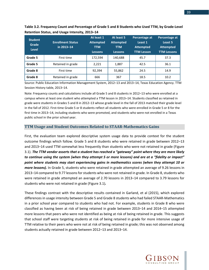| <b>Student</b><br>Grade<br><b>Level</b> | <b>Enrollment Status</b><br>in 2013-14 | At least 1<br><b>Attempted</b><br><b>TTM</b><br><b>Lessons</b> | At least 5<br><b>Attempted</b><br><b>TTM</b><br><b>Lessons</b> | Percentage at<br>Least 1<br><b>Attempted</b><br><b>TTM Lesson</b> | Percentage at<br>Least 5<br><b>Attempted</b><br><b>TTM Lessons</b> |
|-----------------------------------------|----------------------------------------|----------------------------------------------------------------|----------------------------------------------------------------|-------------------------------------------------------------------|--------------------------------------------------------------------|
| Grade 5                                 | First time                             | 172,594                                                        | 140.688                                                        | 45.7                                                              | 37.3                                                               |
| Grade 5                                 | Retained in grade                      | 2,221                                                          | 1,887                                                          | 42.5                                                              | 36.1                                                               |
| Grade 8                                 | First time                             | 92,394                                                         | 55,862                                                         | 24.5                                                              | 14.9                                                               |
| Grade 8                                 | Retained in grade                      | 666                                                            | 367                                                            | 18.5                                                              | 10.2                                                               |

**Table 3.2. Frequency Count and Percentage of Grade 5 and 8 Students who Used TTM, by Grade-Level Retention Status, and Usage Intensity, 2013–14**

Source: Public Education Information Management System, 2012–13 and 2013–14, Texas Education Agency. TTM Session History table, 2013–14.

Note: Frequency counts and calculations include all Grade 5 and 8 students in 2012–13 who were enrolled at a campus where at least one student who attempted a TTM lesson in 2013–14. Students classified as retained in grade were students in Grades 5 and 8 in 2012–13 whose grade level in the fall of 2013 matched their grade level in the fall of 2012. First-time Grade 5 or 8 students reflect all students who were enrolled in Grade 5 or 8 for the first time in 2013–14, including students who were promoted, and students who were not enrolled in a Texas public school in the prior school year.

#### **TTM Usage and Student Outcomes Related to STAAR-Mathematics Gains**

First, the evaluation team explored descriptive system usage data to provide context for the student outcome findings which follow. Grade 5 and 8 students who were retained in grade between 2012–13 and 2013–14 used TTM somewhat less frequently than students who were not retained in grade (Figure 3.1). *The TTM vendor asserts that a student has reached a "gateway" point where they are more likely to continue using the system (when they attempt 5 or more lessons) and are at a "fidelity or impact" point where students may start experiencing gains in mathematics scores (when they attempt 10 or more lessons).* In Grade 5, students who were retained in grade attempted an average of 9.26 lessons in 2013–14 compared to 9.77 lessons for students who were not retained in grade. In Grade 8, students who were retained in grade attempted an average of 2.70 lessons in 2013–14 compared to 3.79 lessons for students who were not retained in grade (Figure 3.1)*.* 

These findings contrast with the descriptive results contained in Garland, et al (2015), which explored differences in usage intensity between Grade 5 and Grade 8 students who had failed STAAR-Mathematics in a prior school year compared to students who had not. For example, students in Grade 8 who were classified as having been at risk of being retained in grade between 2013–14 and 2014–15 attempted more lessons that peers who were not identified as being at risk of being retained in grade. This suggests that school staff were targeting students at risk of being retained in grade for more intensive usage of TTM relative to their peers who were not at risk of being retained in grade; this was not observed among students actually retained in grade between 2012–13 and 2013–14.



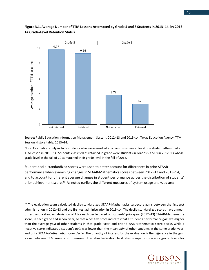

## **Figure 3.1. Average Number of TTM Lessons Attempted by Grade 5 and 8 Students in 2013–14, by 2013– 14 Grade-Level Retention Status**

Source: Public Education Information Management System, 2012–13 and 2013–14, Texas Education Agency. TTM Session History table, 2013–14.

Note: Calculations only include students who were enrolled at a campus where at least one student attempted a TTM lesson in 2013–14. Students classified as retained in grade were students in Grades 5 and 8 in 2012–13 whose grade level in the fall of 2013 matched their grade level in the fall of 2012.

Student decile-standardized scores were used to better account for differences in prior STAAR performance when examining changes in STAAR-Mathematics scores between 2012–13 and 2013–14, and to account for different average changes in student performance across the distribution of students' prior achievement score.<sup>[27](#page-41-0)</sup> As noted earlier, the different measures of system usage analyzed are:

 $\overline{\phantom{a}}$ 



<span id="page-41-0"></span><sup>&</sup>lt;sup>27</sup> The evaluation team calculated decile-standardized STAAR-Mathematics test-score gains between the first test administration in 2012–13 and the first test administration in 2013–14. The decile-standardized scores have a mean of zero and a standard deviation of 1 for each decile based on students' prior-year (2012–13) STAAR-Mathematics score, in each grade and school year, so that a positive score indicates that a student's performance *gain* was higher than the average *gain* of other students in that grade, year, and prior STAAR-Mathematics score decile, while a negative score indicates a student's *gain* was lower than the mean *gain* of other students in the same grade, year, and *prior STAAR-Mathematics score decile*. The quantity of interest for the evaluation is the *difference* in the gain score between TTM users and non-users. This standardization facilitates comparisons across grade levels for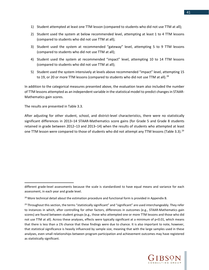- 1) Student attempted at least one TTM lesson (compared to students who did not use TTM at all);
- 2) Student used the system at below recommended level, attempting at least 1 to 4 TTM lessons (compared to students who did not use TTM at all);
- 3) Student used the system at recommended "gateway" level, attempting 5 to 9 TTM lessons (compared to students who did not use TTM at all);
- 4) Student used the system at recommended "impact" level, attempting 10 to 14 TTM lessons (compared to students who did not use TTM at all);
- 5) Student used the system intensively at levels above recommended "impact" level, attempting 15 to 19, or 20 or more TTM lessons (compared to students who did not use TTM at all).<sup>[28](#page-42-0)</sup>

In addition to the categorical measures presented above, the evaluation team also included the number of TTM lessons attempted as an independent variable in the statistical model to predict changes in STAAR-Mathematics gain scores.

The results are presented in Table 3.3.

l

After adjusting for other student, school, and district-level characteristics, there were no statistically significant differences in 2013–14 STAAR-Mathematics score gains (for Grade 5 and Grade 8 students retained in grade between 2012–13 and 2013–14) when the results of students who attempted at least one TTM lesson were compared to those of students who did not attempt any TTM lessons (Table 3.3).<sup>[29](#page-42-1)</sup>

<span id="page-42-1"></span> $29$  Throughout this section, the terms "statistically significant" and "significant" are used interchangeably. They refer to instances in which, after controlling for other factors, differences in outcomes (e.g., STAAR-Mathematics gain scores) are found between student groups (e.g., those who attempted one or more TTM lessons and those who did not use TTM at all). Across these analyses, effects were typically significant at a minimum of p<0.01, which means that there is less than a 1% chance that these findings were due to chance. It is also important to note, however, that statistical significance is heavily influenced by sample size, meaning that with the large samples used in these analyses, even small relationships between program participation and achievement outcomes may have registered as statistically significant.



different grade-level assessments because the scale is standardized to have equal means and variance for each assessment, in each year and grade level.

<span id="page-42-0"></span> $^{28}$  More technical detail about the estimation procedure and functional form is provided in Appendix B.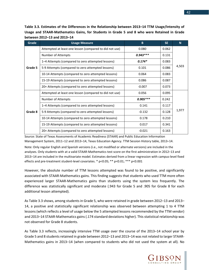**Table 3.3. Estimates of the Differences in the Relationship between 2013–14 TTM Usage/Intensity of Usage and STAAR-Mathematics Gains, for Students in Grade 5 and 8 who were Retained in Grade between 2012–13 and 2013–14**

| Grade   | <b>Usage Measure</b>                                    | B          | <b>SE</b> | N <sub>1</sub> |  |
|---------|---------------------------------------------------------|------------|-----------|----------------|--|
|         | Attempted at least one lesson (compared to did not use) | 0.080      | 0.062     |                |  |
|         | Number of Attempts                                      | $0.943***$ | 0.131     |                |  |
|         | 1-4 Attempts (compared to zero attempted lessons)       | $0.174*$   | 0.083     |                |  |
| Grade 5 | 5-9 Attempts (compared to zero attempted lessons)       | 0.101      | 0.086     | 4,503          |  |
|         | 10-14 Attempts (compared to zero attempted lessons)     | 0.064      | 0.083     |                |  |
|         | 15-19 Attempts (compared to zero attempted lessons)     | 0.086      | 0.087     |                |  |
|         | 20+ Attempts (compared to zero attempted lessons)       | $-0.007$   | 0.073     |                |  |
|         | Attempted at least one lesson (compared to did not use) | 0.056      | 0.095     |                |  |
|         | Number of Attempts                                      | $0.905***$ | 0.242     |                |  |
|         | 1-4 Attempts (compared to zero attempted lessons)       | 0.141      | 0.117     |                |  |
| Grade 8 | 5-9 Attempts (compared to zero attempted lessons)       | $-0.132$   | 0.128     | 1,977          |  |
|         | 10-14 Attempts (compared to zero attempted lessons)     | 0.178      | 0.210     |                |  |
|         | 15-19 Attempts (compared to zero attempted lessons)     | 0.017      | 0.341     |                |  |
|         | 20+ Attempts (compared to zero attempted lessons)       | $-0.021$   | 0.163     |                |  |

Source: State of Texas Assessments of Academic Readiness (STAAR) and Public Education Information Management System, 2011–12 and 2013–14, Texas Education Agency. TTM Session History table, 2013–14.

Note: Only regular English and Spanish versions (i.e., not modified or alternate versions) are included in the analyses. Only students with at a valid STAAR-Mathematics test score on the first administration in 2012–13 and 2013–14 are included in the multivariate model. Estimates derived from a linear regression with campus-level fixed effects and pre-treatment student-level covariates. \* p<0.05; \*\* p<0.01; \*\*\* p<0.001

However, the absolute number of TTM lessons attempted was found to be positive, and significantly associated with STAAR-Mathematics gains. This finding suggests that students who used TTM more often experienced larger STAAR-Mathematics gains than students using the system less frequently. The difference was statistically significant and moderate (.943 for Grade 5 and .905 for Grade 8 for each additional lesson attempted).

As Table 3.3 shows, among students in Grade 5, who were retained in grade between 2012–13 and 2013– 14, a positive and statistically significant relationship was observed between attempting 1 to 4 TTM lessons (which reflects a level of usage below the 5 attempted lessons recommended by the TTM vendor) and 2013–14 STAAR-Mathematics gains (.174 standard deviations higher). This statistical relationship was not observed for Grade 8 students.

As Table 3.3 reflects, increasingly intensive TTM usage over the course of the 2013–14 school year by Grade 5 and 8 students retained in grade between 2012–13 and 2013–14 was not related to larger STAAR-Mathematics gains in 2013–14 (when compared to students who did not used the system at all). No

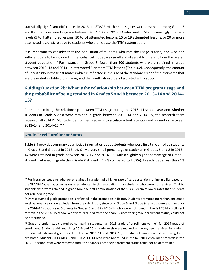statistically significant differences in 2013–14 STAAR-Mathematics gains were observed among Grade 5 and 8 students retained in grade between 2012–13 and 2013–14 who used TTM at increasingly intensive levels (5 to 9 attempted lessons, 10 to 14 attempted lessons, 15 to 19 attempted lessons, or 20 or more attempted lessons), relative to students who did not use the TTM system at all.

It is important to consider that the population of students who met the usage criteria, and who had sufficient data to be included in the statistical model, was small and observably different from the overall student population.<sup>[30](#page-44-0)</sup> For instance, in Grade 8, fewer than 400 students who were retained in grade between 2012–13 and 2013–14 attempted 5 or more TTM lessons (Table 3.2). Consequently, the amount of uncertainty in these estimates (which is reflected in the size of the standard error of the estimates that are presented in Table 3.3) is large, and the results should be interpreted with caution.

## **Guiding Question 2b: What is the relationship between TTM program usage and the probability of being retained in Grades 5 and 8 between 2013–14 and 2014– 15?**

Prior to describing the relationship between TTM usage during the 2013–14 school year and whether students in Grade 5 or 8 were retained in grade between 2013–14 and 2014–15, the research team received fall 2014 PEIMS student enrollment records to calculate actual retention and promotion between 2013–14 and 2014–15. [31,](#page-44-1) [32](#page-44-2)

#### **Grade-Level Enrollment Status**

l

Table 3.4 provides summary descriptive information about students who were first-time enrolled students in Grade 5 and Grade 8 in 2013–14. Only a very small percentage of students in Grades 5 and 8 in 2013– 14 were retained in grade between 2013–14 and 2014–15, with a slightly higher percentage of Grade 5 students retained in grade than Grade 8 students (1.2% compared to 1.02%). In each grade, less than 4%



<span id="page-44-0"></span><sup>&</sup>lt;sup>30</sup> For instance, students who were retained in grade had a higher rate of test abstention, or ineligibility based on the STAAR-Mathematics inclusion rules adopted in this evaluation, than students who were not retained. That is, students who were retained in grade took the first administration of the STAAR exam at lower rates than students not retained in grade.

<span id="page-44-1"></span><sup>&</sup>lt;sup>31</sup> Only sequential grade promotion is reflected in the promotion indicator. Students promoted more than one grade level between years are excluded from the calculation, since only Grade 6 and Grade 9 records were examined for the 2014–15 school year. Students in Grades 5 and 8 in 2013–14 who were not found in the fall 2014 enrollment records in the 2014–15 school year were excluded from the analysis since their grade enrollment status, could not be determined.

<span id="page-44-2"></span> $32$  Grade retention was created by comparing students' fall 2013 grade of enrollment to their fall 2014 grade of enrollment. Students with matching 2013 and 2014 grade levels were marked as having been retained in grade. If the student advanced grade levels between 2013–14 and 2014–15, the student was classified as having been promoted. Students in Grades 5 and 8 in 2013–14 who were not found in the fall 2014 enrollment records in the 2014–15 school year were removed from the analysis since their enrollment status could not be determined.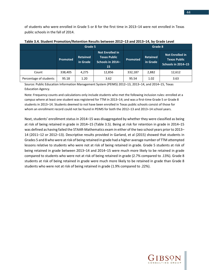of students who were enrolled in Grade 5 or 8 for the first time in 2013–14 were not enrolled in Texas public schools in the fall of 2014.

|                        | Grade 5  |                                                                                                        |        | Grade 8                                        |       |                                                                            |  |
|------------------------|----------|--------------------------------------------------------------------------------------------------------|--------|------------------------------------------------|-------|----------------------------------------------------------------------------|--|
|                        | Promoted | <b>Not Enrolled in</b><br><b>Texas Public</b><br><b>Retained</b><br>Schools in 2014-<br>in Grade<br>15 |        | <b>Retained</b><br><b>Promoted</b><br>in Grade |       | <b>Not Enrolled in</b><br><b>Texas Public</b><br><b>Schools in 2014-15</b> |  |
| Count                  | 338,405  | 4.275                                                                                                  | 12,856 | 332,187                                        | 2,882 | 12,612                                                                     |  |
| Percentage of students | 95.18    | 1.20                                                                                                   | 3.62   | 95.54                                          | 1.02  | 3.63                                                                       |  |

**Table 3.4. Student Promotion/Retention Results between 2012–13 and 2013–14, by Grade Level**

Source: Public Education Information Management System (PEIMS) 2012–13, 2013–14, and 2014–15, Texas Education Agency.

Note: Frequency counts and calculations only include students who met the following inclusion rules: enrolled at a campus where at least one student was registered for TTM in 2013–14; and was a first-time Grade 5 or Grade 8 students in 2013–14. Students deemed to not have been enrolled in Texas public schools consist of those for whom an enrollment record could not be found in PEIMS for both the 2012–13 and 2013–14 school years.

Next, students' enrollment status in 2014–15 was disaggregated by whether they were classified as being at risk of being retained in grade in 2014–15 (Table 3.5). Being at risk for retention in grade in 2014–15 was defined as having failed the STAAR-Mathematics exam in either of the two school years prior to 2013– 14 (2011–12 or 2012–13). Descriptive results provided in Garland, et al (2015) showed that students in Grades 5 and 8 who were at risk of being retained in grade had a higher average number of TTM attempted lessons relative to students who were not at risk of being retained in grade. Grade 5 students at risk of being retained in grade between 2013–14 and 2014–15 were much more likely to be retained in grade compared to students who were not at risk of being retained in grade (2.7% compared to .13%). Grade 8 students at risk of being retained in grade were much more likely to be retained in grade than Grade 8 students who were not at risk of being retained in grade (1.9% compared to .22%).

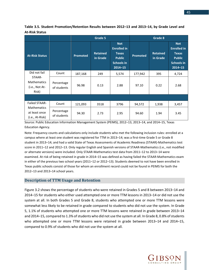|                                                                                |                           | Grade 5  |                             |                                                                                                       |          | Grade 8                     |                                                                                                       |  |
|--------------------------------------------------------------------------------|---------------------------|----------|-----------------------------|-------------------------------------------------------------------------------------------------------|----------|-----------------------------|-------------------------------------------------------------------------------------------------------|--|
| <b>At-Risk Status</b>                                                          |                           | Promoted | <b>Retained</b><br>in Grade | <b>Not</b><br><b>Enrolled in</b><br><b>Texas</b><br><b>Public</b><br><b>Schools in</b><br>$2014 - 15$ | Promoted | <b>Retained</b><br>in Grade | <b>Not</b><br><b>Enrolled in</b><br><b>Texas</b><br><b>Public</b><br><b>Schools in</b><br>$2014 - 15$ |  |
| Did not fail                                                                   | Count                     | 187,168  | 249                         | 5,574                                                                                                 | 177,942  | 395                         | 4,724                                                                                                 |  |
| STAAR-<br><b>Mathematics</b><br>(i.e., Not At-<br>Risk)                        | Percentage<br>of students | 96.98    | 0.13                        | 2.88                                                                                                  | 97.10    | 0.22                        | 2.68                                                                                                  |  |
|                                                                                |                           |          |                             |                                                                                                       |          |                             |                                                                                                       |  |
| <b>Failed STAAR-</b><br><b>Mathematics</b><br>at least once<br>(i.e., At-Risk) | Count                     | 121,093  | 3518                        | 3796                                                                                                  | 94,572   | 1,938                       | 3,457                                                                                                 |  |
|                                                                                | Percentage<br>of students | 94.30    | 2.73                        | 2.95                                                                                                  | 94.60    | 1.94                        | 3.45                                                                                                  |  |

**Table 3.5. Student Promotion/Retention Results between 2012–13 and 2013–14, by Grade Level and At-Risk Status** 

Source: Public Education Information Management System (PEIMS), 2012–13, 2013–14, and 2014–15, Texas Education Agency.

Note: Frequency counts and calculations only include students who met the following inclusion rules: enrolled at a campus where at least one student was registered for TTM in 2013–14; was a first-time Grade 5 or Grade 8 student in 2013–14; and had a valid State of Texas Assessments of Academic Readiness (STAAR)-Mathematics test score in 2011–12 and 2012–13. Only regular English and Spanish versions of STAAR-Mathematics (i.e., not modified or alternate versions) were included. Only STAAR-Mathematics test data from 2011–12 to 2013–14 were examined. At risk of being retained in grade in 2014–15 was defined as having failed the STAAR-Mathematics exam in either of the previous two school years (2011–12 or 2012–13). Students deemed to not have been enrolled in Texas public schools consist of those for whom an enrollment record could not be found in PEIMS for both the 2012–13 and 2013–14 school years.

#### **Description of TTM Usage and Retention**

Figure 3.2 shows the percentage of students who were retained in Grades 5 and 8 between 2013–14 and 2014–15 for students who either used attempted one or more TTM lessons in 2013–14 or did not use the system at all. In both Grades 5 and Grade 8, students who attempted one or more TTM lessons were somewhat less likely to be retained in grade compared to students who did not use the system. In Grade 5, 1.1% of students who attempted one or more TTM lessons were retained in grade between 2013–14 and 2014–15, compared to 1.3% of students who did not use the system at all. In Grade 8, 0.8% of students who attempted one or more TTM lessons were retained in grade between 2013–14 and 2014–15, compared to 0.9% of students who did not use the system at all.

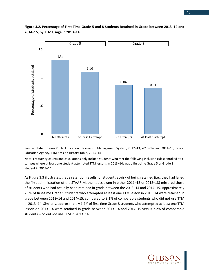

### **Figure 3.2. Percentage of First-Time Grade 5 and 8 Students Retained in Grade between 2013–14 and 2014–15, by TTM Usage in 2013–14**

Source: State of Texas Public Education Information Management System, 2012–13, 2013–14, and 2014–15, Texas Education Agency. TTM Session History Table, 2013–14

Note: Frequency counts and calculations only include students who met the following inclusion rules: enrolled at a campus where at least one student attempted TTM lessons in 2013–14; was a first-time Grade 5 or Grade 8 student in 2013–14.

As Figure 3.3 illustrates, grade retention results for students at-risk of being retained (i.e., they had failed the first administration of the STAAR-Mathematics exam in either 2011–12 or 2012–13) mirrored those of students who had actually been retained in grade between the 2013–14 and 2014–15. Approximately 2.5% of first-time Grade 5 students who attempted at least one TTM lesson in 2013–14 were retained in grade between 2013–14 and 2014–15, compared to 3.1% of comparable students who did not use TTM in 2013–14. Similarly, approximately 1.7% of first-time Grade 8 students who attempted at least one TTM lesson on 2013–14 were retained in grade between 2013–14 and 2014–15 versus 2.2% of comparable students who did not use TTM in 2013–14.

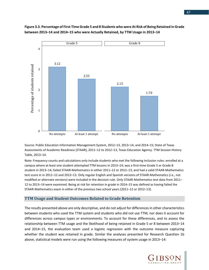

**Figure 3.3. Percentage of First-Time Grade 5 and 8 Students who were At Risk of Being Retained in Grade between 2013–14 and 2014–15 who were Actually Retained, by TTM Usage in 2013–14**

Source: Public Education Information Management System, 2012–13, 2013–14, and 2014–15; State of Texas Assessments of Academic Readiness (STAAR), 2011–12 to 2012–13, Texas Education Agency. TTM Session History Table, 2013–14.

Note: Frequency counts and calculations only include students who met the following inclusion rules: enrolled at a campus where at least one student attempted TTM lessons in 2013–14; was a first-time Grade 5 or Grade 8 student in 2013–14; failed STAAR-Mathematics in either 2011–12 or 2012–13; and had a valid STAAR-Mathematics test score in in 2011–12 and 2012–13. Only regular English and Spanish versions of STAAR-Mathematics (i.e., not modified or alternate versions) were included in the decision rule. Only STAAR-Mathematics test data from 2011– 12 to 2013–14 were examined. Being at risk for retention in grade in 2014–15 was defined as having failed the STAAR-Mathematics exam in either of the previous two school years (2011–12 or 2012–13).

#### **TTM Usage and Student Outcomes Related to Grade Retention**

The results presented above are only descriptive, and do not adjust for differences in other characteristics between students who used the TTM system and students who did not use TTM, nor does it account for differences across campus types or environments. To account for these differences, and to assess the relationship between TTM usage and the likelihood of being retained in Grade 5 or 8 between 2013–14 and 2014–15, the evaluation team used a logistic regression with the outcome measure capturing whether the student was retained in grade. Similar the analyses presented for Research Question 1b above, statistical models were run using the following measures of system usage in 2013–14:

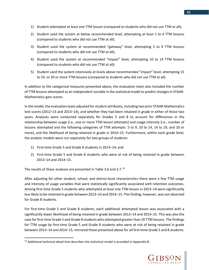- 1) Student attempted at least one TTM lesson (compared to students who did not use TTM at all);
- 2) Student used the system at below recommended level, attempting at least 1 to 4 TTM lessons (compared to students who did not use TTM at all);
- 3) Student used the system at recommended "gateway" level, attempting 5 to 9 TTM lessons (compared to students who did not use TTM at all);
- 4) Student used the system at recommended "impact" level, attempting 10 to 14 TTM lessons (compared to students who did not use TTM at all);
- 5) Student used the system intensively at levels above recommended "impact" level, attempting 15 to 19, or 20 or more TTM lessons (compared to students who did not use TTM at all).

In addition to the categorical measures presented above, the evaluation team also included the number of TTM lessons attempted as an independent variable in the statistical model to predict changes in STAAR-Mathematics gain scores.

In the model, the evaluation team adjusted for student attributes, including two prior STAAR-Mathematics test scores (2012–13 and 2013–14), and whether they had been retained in grade in either of those two years. Analyses were conducted separately for Grades 5 and 8 to account for differences in the relationship between usage (i.e., one or more TTM lesson attempts) and usage intensity (i.e., number of lessons attempted and the following categories of TTM attempts: 5 to 9, 10 to 14, 14 to 19, and 20 or more), and the likelihood of being retained in grade in 2014–15. Furthermore, within each grade level, the analytic models were run separately for two groups of students:

- 1) First-time Grade 5 and Grade 8 students in 2013–14; and
- 2) First-time Grade 5 and Grade 8 students who were at risk of being retained in grade between 2013–14 and 2014–15.

The results of these analyses are presented in Table 3.6 and 3.7.[33](#page-49-0)

After adjusting for other student, school, and district-level characteristics there were a few TTM usage and intensity of usage variables that were statistically significantly associated with retention outcomes. Among first-time Grade 5 students who attempted at least one TTM lesson in 2013–14 were significantly less likely to be retained in grade between 2013–14 and 2014–15. This finding, however, was not observed for Grade 8 students.

For first-time Grade 5 and Grade 8 students, each additional attempted lesson was associated with a significantly lower likelihood of being retained in grade between 2013–14 and 2014–15. This was also the case for first-time Grade 5 and Grade 8 students who attempted greater than 20 TTM lessons. The findings for TTM usage by first-time Grade 5 and Grade 8 students who were at risk of being retained in grade between 2013–14 and 2014–15, mirrored those presented above for all first-time Grade 5 and 8 students.

l



<span id="page-49-0"></span><sup>33</sup> Additional technical detail that describes the statistical model is provided in Appendix B.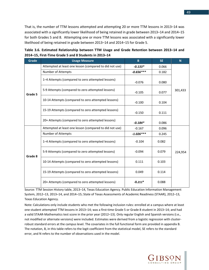That is, the number of TTM lessons attempted and attempting 20 or more TTM lessons in 2013–14 was associated with a significantly lower likelihood of being retained in grade between 2013–14 and 2014–15 for both Grades 5 and 8. Attempting one or more TTM lessons was associated with a significantly lower likelihood of being retained in grade between 2013–14 and 2014–15 for Grade 5.

|  | Table 3.6. Estimated Relationship between TTM Usage and Grade Retention between 2013-14 and |  |  |  |  |
|--|---------------------------------------------------------------------------------------------|--|--|--|--|
|  | 2014-15, First-Time Grade 5 and 8 Students in 2013-14                                       |  |  |  |  |

| <b>Grade</b> | <b>Usage Measure</b>                                    | B.          | <b>SE</b> | N <sub>1</sub> |
|--------------|---------------------------------------------------------|-------------|-----------|----------------|
| Grade 5      | Attempted at least one lesson (compared to did not use) | $-0.133*$   | 0.066     |                |
|              | Number of Attempts                                      | $-0.656***$ | 0.182     |                |
|              | 1-4 Attempts (compared to zero attempted lessons)       | $-0.076$    | 0.080     |                |
|              | 5-9 Attempts (compared to zero attempted lessons)       | $-0.105$    | 0.077     | 301,433        |
|              | 10-14 Attempts (compared to zero attempted lessons)     | $-0.100$    | 0.104     |                |
|              | 15-19 Attempts (compared to zero attempted lessons)     | $-0.150$    | 0.111     |                |
|              | 20+ Attempts (compared to zero attempted lessons)       | $-0.184*$   | 0.086     |                |
|              | Attempted at least one lesson (compared to did not use) | $-0.167$    | 0.096     |                |
|              | Number of Attempts                                      | $-1.026***$ | 0.245     |                |
|              | 1-4 Attempts (compared to zero attempted lessons)       | $-0.104$    | 0.082     |                |
| Grade 8      | 5-9 Attempts (compared to zero attempted lessons)       | $-0.094$    | 0.079     | 224,954        |
|              | 10-14 Attempts (compared to zero attempted lessons)     | 0.111       | 0.103     |                |
|              | 15-19 Attempts (compared to zero attempted lessons)     | 0.049       | 0.114     |                |
|              | 20+ Attempts (compared to zero attempted lessons)       | $-0.211*$   | 0.088     |                |

Source: TTM Session History table, 2013–14, Texas Education Agency. Public Education Information Management System, 2012–13, 2013–14, and 2014–15; State of Texas Assessments of Academic Readiness (STAAR), 2012–13, Texas Education Agency.

Note: Calculations only include students who met the following inclusion rules: enrolled at a campus where at least one student attempted TTM lessons in 2013–14; was a first-time Grade 5 or Grade 8 student in 2013–14; and had a valid STAAR-Mathematics test score in the prior year (2012–13). Only regular English and Spanish versions (i.e., not modified or alternate versions) were included. Estimates were derived from a logistic regression with clusterrobust standard errors at the campus level. The covariates in the full functional form are provided in appendix B. The notation, B, in this table refers to the logit coefficient from the statistical model, SE refers to the standard error, and N refers to the number of observations used in the model.

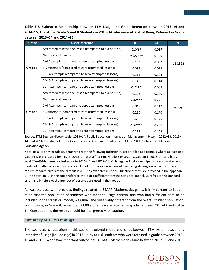**Table 3.7. Estimated Relationship between TTM Usage and Grade Retention between 2013–14 and 2014–15, First-Time Grade 5 and 8 Students in 2013–14 who were at Risk of Being Retained in Grade between 2013–14 and 2014–15**

| Grade   | <b>Usage Measure</b>                                    | B           | <b>SE</b> | N       |
|---------|---------------------------------------------------------|-------------|-----------|---------|
|         | Attempted at least one lesson (compared to did not use) | $-0.146*$   | 0.067     |         |
|         | Number of attempts                                      | $-0.727***$ | 0.199     |         |
|         | 1–4 Attempts (compared to zero attempted lessons)       | $-0.103$    | 0.082     | 118,522 |
| Grade 5 | 5-9 Attempts (compared to zero attempted lessons)       | $-0.094$    | 0.079     |         |
|         | 10-14 Attempts (compared to zero attempted lessons)     | $-0.111$    | 0.103     |         |
|         | 15-19 Attempts (compared to zero attempted lessons)     | $-0.148$    | 0.114     |         |
|         | 20+ Attempts (compared to zero attempted lessons)       | $-0.211*$   | 0.088     |         |
|         | Attempted at least one lesson (compared to did not use) | $-0.198$    | 0.100     |         |
|         | Number of attempts                                      | $-1.42***$  | 0.271     |         |
|         | 1-4 Attempts (compared to zero attempted lessons)       | $-0.049$    | 0.112     | 91,093  |
| Grade 8 | 5-9 Attempts (compared to zero attempted lessons)       | $-0.210$    | 0.170     |         |
|         | 10-14 Attempts (compared to zero attempted lessons)     | $-0.423*$   | 0.175     |         |
|         | 15-19 Attempts (compared to zero attempted lessons)     | $-0.578**$  | 0.208     |         |
|         | 20+ Attempts (compared to zero attempted lessons)       | $-0.232$    | 0.163     |         |

Source: TTM Session History table, 2013–14. Public Education Information Management System, 2012–13, 2013– 14, and 2014–15; State of Texas Assessments of Academic Readiness (STAAR), 2011–12 to 2012–13, Texas Education Agency.

Note: Results only include students who met the following inclusion rules: enrolled at a campus where at least one student was registered for TTM in 2013–14; was a first-time Grade 5 or Grade 8 student in 2013–14; and had a valid STAAR-Mathematics test score in 2011–12 and 2012–13. Only regular English and Spanish versions (i.e., not modified or alternate versions) were included. Estimates were derived from a logistic regression with clusterrobust standard errors at the campus level. The covariates in the full functional form are provided in the appendix B. The notation, B, in this table refers to the logit coefficient from the statistical model, SE refers to the standard error, and N refers to the number of observations used in the model.

As was the case with previous findings related to STAAR-Mathematics gains, it is important to keep in mind that the population of students who met the usage criteria, and who had sufficient data to be included in the statistical model, was small and observably different from the overall student population. For instance, in Grade 8, fewer than 3,000 students were retained in grade between 2012–13 and 2013– 14. Consequently, the results should be interpreted with caution.

#### **Summary of TTM Findings**

The two research questions in this section explored the relationships between TTM system usage, and intensity of usage (i.e., dosage) in 2013–14 by at-risk students who were retained in grade between 2012– 13 and 2013–14 and two important outcomes: 1) STAAR-Mathematics gains between 2012–13 and 2013–

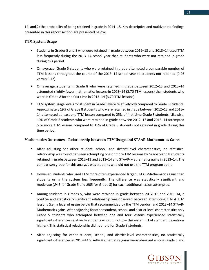14; and 2) the probability of being retained in grade in 2014–15. Key descriptive and multivariate findings presented in this report section are presented below:

#### **TTM System Usage**

- Students in Grades 5 and 8 who were retained in grade between 2012–13 and 2013–14 used TTM less frequently during the 2013–14 school year than students who were not retained in grade during this period.
- On average, Grade 5 students who were retained in grade attempted a comparable number of TTM lessons throughout the course of the 2013–14 school year to students not retained (9.26 versus 9.77).
- On average, students in Grade 8 who were retained in grade between 2012–13 and 2013–14 attempted slightly fewer mathematics lessons in 2013–14 (2.70 TTM lessons) than students who were in Grade 8 for the first time in 2013–14 (3.79 TTM lessons).
- TTM system usage levels for student in Grade 8 were relatively low compared to Grade 5 students. Approximately 19% of Grade 8 students who were retained in grade between 2012–13 and 2013– 14 attempted at least one TTM lesson compared to 25% of first-time Grade 8 students. Likewise, 10% of Grade 8 students who were retained in grade between 2012–13 and 2013–14 attempted 5 or more TTM lessons compared to 15% of Grade 8 students not retained in grade during this time period.

#### **Mathematics Outcomes – Relationship between TTM Usage and STAAR-Mathematics Gains**

- After adjusting for other student, school, and district-level characteristics, no statistical relationship was found between attempting one or more TTM lessons by Grade 5 and 8 students retained in grade between 2012–13 and 2013–14 and STAAR-Mathematics gains in 2013–14. The comparison group for this analysis was students who did not use the TTM program at all.
- **However, students who used TTM more often experienced larger STAAR-Mathematics gains than** students using the system less frequently. The difference was statistically significant and moderate (.943 for Grade 5 and .905 for Grade 8) for each additional lesson attempted.
- Among students in Grades 5, who were retained in grade between 2012–13 and 2013–14, a positive and statistically significant relationship was observed between attempting 1 to 4 TTM lessons (i.e., a level of usage below that recommended by the TTM vendor) and 2013–14 STAAR-Mathematics gains. After adjusting for other student, school, and district-level characteristics only Grade 5 students who attempted between one and four lessons experienced statistically significant differences relative to students who did not use the system (.174 standard deviations higher). This statistical relationship did not hold for Grade 8 students.
- After adjusting for other student, school, and district-level characteristics, no statistically significant differences in 2013–14 STAAR-Mathematics gains were observed among Grade 5 and

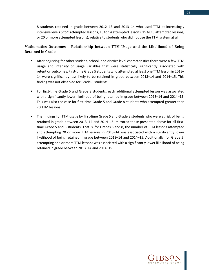8 students retained in grade between 2012–13 and 2013–14 who used TTM at increasingly intensive levels 5 to 9 attempted lessons, 10 to 14 attempted lessons, 15 to 19 attempted lessons, or 20 or more attempted lessons), relative to students who did not use the TTM system at all.

## **Mathematics Outcomes – Relationship between TTM Usage and the Likelihood of Being Retained in Grade**

- After adjusting for other student, school, and district-level characteristics there were a few TTM usage and intensity of usage variables that were statistically significantly associated with retention outcomes. First-time Grade 5 students who attempted at least one TTM lesson in 2013– 14 were significantly less likely to be retained in grade between 2013–14 and 2014–15. This finding was not observed for Grade 8 students.
- For first-time Grade 5 and Grade 8 students, each additional attempted lesson was associated with a significantly lower likelihood of being retained in grade between 2013–14 and 2014–15. This was also the case for first-time Grade 5 and Grade 8 students who attempted greater than 20 TTM lessons.
- The findings for TTM usage by first-time Grade 5 and Grade 8 students who were at risk of being retained in grade between 2013–14 and 2014–15, mirrored those presented above for all firsttime Grade 5 and 8 students. That is, for Grades 5 and 8, the number of TTM lessons attempted and attempting 20 or more TTM lessons in 2013–14 was associated with a significantly lower likelihood of being retained in grade between 2013–14 and 2014–15. Additionally, for Grade 5, attempting one or more TTM lessons was associated with a significantly lower likelihood of being retained in grade between 2013–14 and 2014–15.



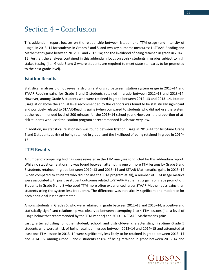## Section 4 – Conclusion

This addendum report focuses on the relationship between Istation and TTM usage (and intensity of usage) in 2013–14 for students in Grades 5 and 8, and two key outcome measures: 1) STAAR-Reading and Mathematics gains between 2012–13 and 2013–14; and the likelihood of being retained in grade in 2014– 15. Further, the analyses contained in this addendum focus on at-risk students in grades subject to high stakes testing (i.e., Grade 5 and 8 where students are required to meet state standards to be promoted to the next grade level).

## **Istation Results**

Statistical analyses did not reveal a strong relationship between Istation system usage in 2013–14 and STAAR-Reading gains for Grade 5 and 8 students retained in grade between 2012–13 and 2013–14. However, among Grade 8 students who were retained in grade between 2012–13 and 2013–14, Istation usage at or above the annual level recommended by the vendors was found to be statistically significant and positively related to STAAR-Reading gains (when compared to students who did not use the system at the recommended level of 200 minutes for the 2013–14 school year). However, the proportion of atrisk students who used the Istation program at recommended levels was very low.

In addition, no statistical relationship was found between Istation usage in 2013–14 for first-time Grade 5 and 8 students at risk of being retained in grade, and the likelihood of being retained in grade in 2014– 15.

### **TTM Results**

A number of compelling findings were revealed in the TTM analyses conducted for this addendum report. While no statistical relationship was found between attempting one or more TTM lessons by Grade 5 and 8 students retained in grade between 2012–13 and 2013–14 and STAAR-Mathematics gains in 2013–14 (when compared to students who did not use the TTM program at all), a number of TTM usage metrics were associated with positive student outcomes related to STAAR-Mathematics gains or grade promotion. Students in Grade 5 and 8 who used TTM more often experienced larger STAAR-Mathematics gains than students using the system less frequently. The difference was statistically significant and moderate for each additional lesson attempted.

Among students in Grades 5, who were retained in grade between 2012–13 and 2013–14, a positive and statistically significant relationship was observed between attempting 1 to 4 TTM lessons (i.e., a level of usage below that recommended by the TTM vendor) and 2013–14 STAAR-Mathematics gains.

Lastly, after adjusting for other student, school, and district-level characteristics, first-time Grade 5 students who were at risk of being retained in grade between 2013–14 and 2014–15 and attempted at least one TTM lesson in 2013–14 were significantly less likely to be retained in grade between 2013–14 and 2014–15. Among Grade 5 and 8 students at risk of being retained in grade between 2013–14 and

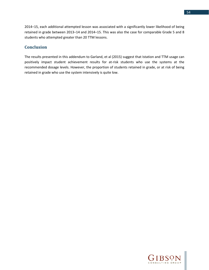2014–15, each additional attempted lesson was associated with a significantly lower likelihood of being retained in grade between 2013–14 and 2014–15. This was also the case for comparable Grade 5 and 8 students who attempted greater than 20 TTM lessons.

## **Conclusion**

The results presented in this addendum to Garland, et al (2015) suggest that Istation and TTM usage can positively impact student achievement results for at-risk students who use the systems at the recommended dosage levels. However, the proportion of students retained in grade, or at risk of being retained in grade who use the system intensively is quite low.



54

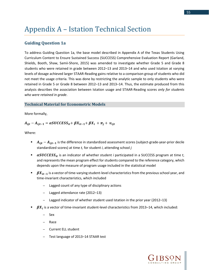# Appendix A – Istation Technical Section

## **Guiding Question 1a**

To address Guiding Question 1a, the base model described in Appendix A of the Texas Students Using Curriculum Content to Ensure Sustained Success (SUCCESS) Comprehensive Evaluation Report (Garland, Shields, Booth, Shaw, Samii-Shore, 2015) was amended to investigate whether Grade 5 and Grade 8 students who were retained in grade between 2012–13 and 2013–14 and who used Istation at varying levels of dosage achieved larger STAAR-Reading gains relative to a comparison group of students who did not meet the usage criteria. This was done by restricting the analytic sample to only students who were retained in Grade 5 or Grade 8 between 2012–13 and 2013–14. Thus, the estimate produced from this analysis describes the association between Istation usage and STAAR-Reading scores *only for students who were retained in grade*.

#### **Technical Material for Econometric Models**

More formally,

#### $A_{ii t} - A_{ii t-1} = \alpha \mathcal{S} \mathcal{U} \mathcal{C} \mathcal{E} \mathcal{S} \mathcal{S}_{it} + \beta X_{it-1} + \beta X_i + \pi_i + v_{i i t}$

Where:

- $A_{ijt}-A_{ijt-1}$  is the difference in standardized assessment scores (subject-grade-year-prior decile standardized scores) at time *t,* for student *i*, attending school *j*
- **EXECUCLESS**<sub>it</sub> is an indicator of whether student *i* participated in a SUCCESS program at time *t*, and represents the mean program effect for students compared to the reference category, which depends upon the measure of program usage included in the statistical model
- $\mathbf{B}X_{it-1}$  is a vector of time-varying student-level characteristics from the previous school year, and time-invariant characteristics, which included
	- Lagged count of any type of disciplinary actions
	- Lagged attendance rate (2012–13)
	- Lagged indicator of whether student used Istation in the prior year (2012–13)
- $\beta X_i$  is a vector of time-invariant student-level characteristics from 2013–14, which included:
	- Sex
	- Race
	- Current ELL student
	- Test language of 2013–14 STAAR test

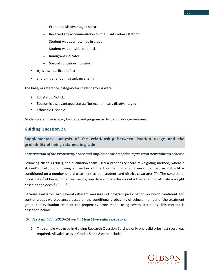- Economic Disadvantaged status
- Received any accommodation on the STAAR administration
- Student was ever retained in grade
- Student was considered at risk
- Immigrant indicator
- Special Education indicator
- $\pi_i$  is a school fixed effect
- and  $v_{ij}$  is a random disturbance term

The base, or reference, category for student groups were:

- **ELL status: Not ELL**
- Economic disadvantaged status: Not economically disadvantaged
- **Ethnicity: Hispanic**

Models were fit separately by grade and program participation dosage measure.

## **Guiding Question 2a**

## **Supplementary analysis of the relationship between Istation usage and the probability of being retained in grade**

#### *Construction of the Propensity Score and Implementation of the Regression Reweighting Scheme*

Following Nichols (2007), the evaluation team used a propensity score reweighting method, where a student's likelihood of being a member of the treatment group, however defined, in 2013–14 is conditioned on a number of pre-treatment school, student, and district covariates  $X^C$ . The conditional probability  $\hat{\lambda}$  of being in the treatment group derived from this model is then used to calculate a weight based on the odds  $\hat{\lambda}/(1-\hat{\lambda})$ .

Because evaluators had several different measures of program participation on which treatment and control groups were balanced based on the conditional probability of being a member of the treatment group, the evaluation team fit the propensity score model using several iterations. This method is described below.

#### *Grades 5 and 8 in 2013–14 with at least two valid test scores*

1. This sample was used in Guiding Research Question 1a since only one valid prior test score was required. All valid cases in Grades 5 and 8 were included.



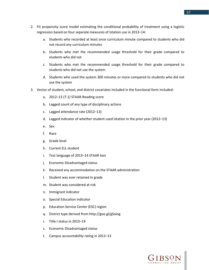- 2. Fit propensity score model estimating the conditional probability of treatment using a logistic regression based on four separate measures of Istation use in 2013–14:
	- a. Students who recorded at least once curriculum minute compared to students who did not record any curriculum minutes
	- b. Students who met the recommended usage threshold for their grade compared to students who did not
	- c. Students who met the recommended usage threshold for their grade compared to students who did not use the system
	- d. Students who used the system 300 minutes or more compared to students who did not use the system
- 3. Vector of student, school, and district covariates included in the functional form included:
	- a. 2012–13 (*T-1)* STAAR-Reading score
	- b. Lagged count of any type of disciplinary actions
	- c. Lagged attendance rate (2012–13)
	- d. Lagged indicator of whether student used Istation in the prior year (2012–13)
	- e. Sex
	- f. Race
	- g. Grade level
	- h. Current ELL student
	- i. Test language of 2013–14 STAAR test
	- j. Economic Disadvantaged status
	- k. Received any accommodation on the STAAR administration
	- l. Student was ever retained in grade
	- m. Student was considered at risk
	- n. Immigrant indicator
	- o. Special Education indicator
	- p. Education Service Center (ESC) region
	- q. District type derived from http://goo.gl/gSoiog
	- r. Title I status in 2013–14
	- s. Economic Disadvantaged status
	- t. Campus accountability rating in 2012–13

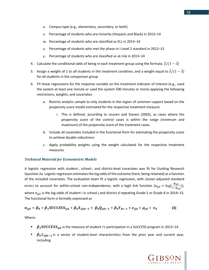- u. Campus type (e.g., elementary, secondary, or both)
- v. Percentage of students who are minority (Hispanic and Black) in 2013–14
- w. Percentage of students who are classified as ELL in 2013–14
- x. Percentage of students who met the phase-in I Level 2 standard in 2012–13
- y. Percentage of students who are classified as at-risk in 2013–14
- 4. Calculate the conditional odds of being in each treatment group using the formula:  $\hat{\lambda}/(1-\hat{\lambda})$
- 5. Assign a weight of 1 to *all* students in the treatment condition, and a weight equal to  $\hat{\lambda}/(1-\hat{\lambda})$ for all students in the comparison group
- 6. Fit linear regressions for the response variable on the treatment indicator of interest (e.g., used the system at least one minute or used the system 500 minutes or more) applying the following restrictions, weights, and covariates:
	- a. Restrict analytic sample to only students in the region of common support based on the propensity score model estimated for the respective treatment measure
		- i. This is defined, according to Leuven and Sianesi (2003), as cases where the propensity score of the control cases is within the range (minimum and maximum) of the propensity score of the treatment cases.
	- b. Include all covariates included in the functional form for estimating the propensity score to achieve double-robustness
	- c. Apply probability weights using the weight calculated for the respective treatment measures

### *Technical Material for Econometric Models*

A logistic regression with student-, school-, and district-level covariates was fit for Guiding Research Question 2a. Logistic regression estimates the log odds of the outcome (here, being retained) as a function of the included covariates. The evaluation team fit a logistic regression, with cluster-adjusted standard errors to account for within-school non-independence, with a logit link function  $(n_{ijd} = log(\frac{\phi_{ijd}}{1-\phi_{ijd}}))$ , where  $n_{\text{iid}}$  is the log-odds of student i in school j and district d repeating Grade 5 or Grade 8 in 2014–15. The functional form is formally expressed as

$$
n_{ijd} = \beta_0 + \beta_1 SUCCESS_{ijd} + \beta_k X_{ijdt-1} + \beta_k Q_{jdt-1} + \beta_k Y_{dt-1} + e_{ijd} + \mu_{jd} + \nu_d
$$
 (3)

Where:

- **F**  $\beta_1 SUCCES_{iid}$  is the measure of student *I's* participation in a SUCCESS program in 2013–14
- $\bullet$   $\beta_k X_{iidt-1}$  is a vector of student-level characteristics from the prior year and current year, including

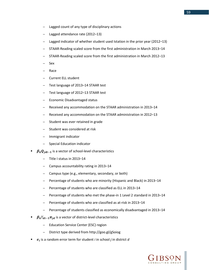- Lagged count of any type of disciplinary actions
- Lagged attendance rate (2012–13)
- Lagged indicator of whether student used Istation in the prior year (2012–13)
- STAAR-Reading scaled score from the first administration in March 2013–14
- STAAR-Reading scaled score from the first administration in March 2012–13
- Sex
- Race
- Current ELL student
- Test language of 2013–14 STAAR test
- Test language of 2012–13 STAAR test
- Economic Disadvantaged status
- Received any accommodation on the STAAR administration in 2013–14
- Received any accommodation on the STAAR administration in 2012–13
- Student was ever retained in grade
- Student was considered at risk
- Immigrant indicator
- Special Education indicator
- $\beta_k Q_{jdt-1}$  is a vector of school-level characteristics
	- Title I status in 2013–14
	- Campus accountability rating in 2013–14
	- Campus type (e.g., elementary, secondary, or both)
	- Percentage of students who are minority (Hispanic and Black) in 2013–14
	- Percentage of students who are classified as ELL in 2013-14
	- Percentage of students who met the phase-in 1 Level 2 standard in 2013–14
	- Percentage of students who are classified as at-risk in 2013–14
	- Percentage of students classified as economically disadvantaged in 2013–14
- $\beta_k Y_{dt-1} \pi_{id}$  is a vector of district-level characteristics
	- Education Service Center (ESC) region
	- District type derived from<http://goo.gl/gSoiog>
- is a random error term for student *i* in school *j* in district *d*

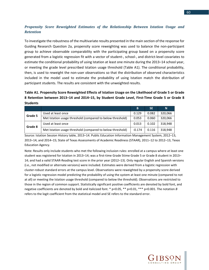## *Propensity Score Reweighted Estimates of the Relationship Between Istation Usage and Retention*

To investigate the robustness of the multivariate results presented in the main section of the response for Guiding Research Question 2a, propensity score reweighting was used to balance the non-participant group to achieve observable comparability with the participating group based on a propensity score generated from a logistic regression fit with a vector of student-, school-, and district-level covariates to estimate the conditional probability of using Istation at least one minute during the 2013–14 school year, or meeting the grade level prescribed Istation usage threshold (Table A1). The conditional probability, then, is used to reweight the non-user observations so that the distribution of observed characteristics included in the model used to estimate the probability of using Istation match the distribution of participant students. The results are consistent with the unweighted results.

## **Table A1. Propensity Score Reweighted Effects of Istation Usage on the Likelihood of Grade 5 or Grade 8 Retention between 2013–14 and 2014–15, by Student Grade Level, First-Time Grade 5 or Grade 8 Students**

|         |                                                            | B        | <b>SE</b> | N       |
|---------|------------------------------------------------------------|----------|-----------|---------|
| Grade 5 | Used at least once                                         | 0.129    | 0.082     | 320,066 |
|         | Met Istation usage threshold (compared to below threshold) | 0.053    | 0.060     | 320,066 |
| Grade 8 | Used at least once                                         | 0.013    | 0.102     | 318,948 |
|         | Met Istation usage threshold (compared to below threshold) | $-0.174$ | 0.116     | 318,948 |

Source: Istation Session History table, 2013–14. Public Education Information Management System, 2012–13, 2013–14, and 2014–15; State of Texas Assessments of Academic Readiness (STAAR), 2011–12 to 2012–13, Texas Education Agency.

Note: Results only include students who met the following inclusion rules: enrolled at a campus where at least one student was registered for Istation in 2013–14; was a first-time Grade 5time Grade 5 or Grade 8 student in 2013– 14; and had a valid STAAR-Reading test score in the prior year (2012–13). Only regular English and Spanish versions (i.e., not modified or alternate versions) were included. Estimates were derived from a logistic regression with cluster-robust standard errors at the campus level. Observations were reweighted by a propensity score derived for a logistic regression model predicting the probability of using the system at least one minute (compared to not at all) or meeting the Istation usage threshold (compared to below the threshold). Observations are restricted to those in the region of common support. Statistically significant positive coefficients are denoted by bold font, and negative coefficients are denoted by bold and italicized font. \* p<0.05, \*\* p<0.01, \*\*\* p<0.001. The notation *B* refers to the logit coefficient from the statistical model and SE refers to the standard error.

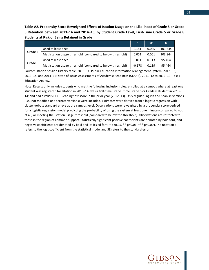**Table A2. Propensity Score Reweighted Effects of Istation Usage on the Likelihood of Grade 5 or Grade 8 Retention between 2013–14 and 2014–15, by Student Grade Level, First-Time Grade 5 or Grade 8 Students at Risk of Being Retained in Grade**

|         |                                                            | B        | <b>SE</b> | N       |
|---------|------------------------------------------------------------|----------|-----------|---------|
| Grade 5 | Used at least once                                         | 0.151    | 0.085     | 103,844 |
|         | Met Istation usage threshold (compared to below threshold) | 0.051    | 0.061     | 103.844 |
| Grade 8 | Used at least once                                         | 0.011    | 0.113     | 95,464  |
|         | Met Istation usage threshold (compared to below threshold) | $-0.178$ | 0.119     | 95.464  |

Source: Istation Session History table, 2013–14. Public Education Information Management System, 2012–13, 2013–14, and 2014–15; State of Texas Assessments of Academic Readiness (STAAR), 2011–12 to 2012–13, Texas Education Agency.

Note: Results only include students who met the following inclusion rules: enrolled at a campus where at least one student was registered for Istation in 2013–14; was a first-time Grade 5time Grade 5 or Grade 8 student in 2013– 14; and had a valid STAAR-Reading test score in the prior year (2012–13). Only regular English and Spanish versions (i.e., not modified or alternate versions) were included. Estimates were derived from a logistic regression with cluster-robust standard errors at the campus level. Observations were reweighted by a propensity score derived for a logistic regression model predicting the probability of using the system at least one minute (compared to not at all) or meeting the Istation usage threshold (compared to below the threshold). Observations are restricted to those in the region of common support. Statistically significant positive coefficients are denoted by bold font, and negative coefficients are denoted by bold and italicized font. \* p<0.05, \*\* p<0.01, \*\*\* p<0.001.The notation *B* refers to the logit coefficient from the statistical model and SE refers to the standard error.

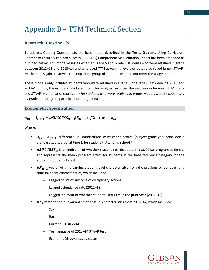## Appendix B – TTM Technical Section

## **Research Question 1b**

To address Guiding Question 1b, the base model described in the Texas Students Using Curriculum Content to Ensure Sustained Success (SUCCESS) Comprehensive Evaluation Report has been amended as outlined below. This model assesses whether Grade 5 and Grade 8 students who were retained in grade between 2012–13 and 2013–14 and who used TTM at varying levels of dosage achieved larger STAAR-Mathematics gains relative to a comparison group of students who did not meet the usage criteria.

These models only included students who were retained in Grade 5 or Grade 8 between 2012–13 and 2013–14. Thus, the estimate produced from this analysis describes the association between TTM usage and STAAR-Mathematics scores *only for students who were retained in grade*. Models were fit separately by grade and program participation dosage measure.

#### **Econometric Specification**

#### $A_{ijt}-A_{ijt-1} = \alpha SUCCESS_{it} + \beta X_{it-1} + \beta X_i + \pi_j + v_{ijt}$

Where:

- $A_{ijt}-A_{ijt-1}$  difference in standardized assessment scores (subject-grade-year-prior decile standardized scores) at time *t,* for student *i*, attending school *j*
- **EXECUCLESS**<sub>it</sub> is an indicator of whether student *i* participated in a SUCCESS program at time *t*, and represents the mean program effect for students in the base reference category for the student group of interest.
- $\mathbf{B}X_{it-1}$  vector of time-varying student-level characteristics from the previous school year, and time-invariant characteristics, which included
	- Lagged count of any type of disciplinary actions
	- Lagged attendance rate (2012–13)
	- Lagged indicator of whether student used TTM in the prior year (2012–13)
- $\beta X_i$  vector of time-invariant student-level characteristics from 2013–14, which included:
	- Sex
	- Race
	- Current ELL student
	- Test language of 2013–14 STAAR test
	- Economic Disadvantaged status

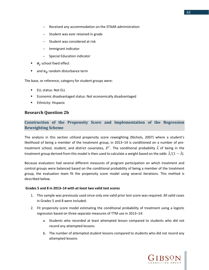- Received any accommodation on the STAAR administration
- Student was ever retained in grade
- Student was considered at risk
- Immigrant indicator
- Special Education indicator
- $\pi_i$  school fixed effect
- and  $v_{ij}$  random disturbance term

The base, or reference, category for student groups were:

- **ELL status: Not ELL**
- **Example 2** Economic disadvantaged status: Not economically disadvantaged
- Ethnicity: Hispanic

### **Research Question 2b**

## **Construction of the Propensity Score and Implementation of the Regression Reweighting Scheme**

The analysis in this section utilized propensity score reweighting (Nichols, 2007) where a student's likelihood of being a member of the treatment group, in 2013–14 is conditioned on a number of pretreatment school, student, and district covariates,  $X^C$ . The conditional probability  $\hat{\lambda}$  of being in the treatment group derived from this model is then used to calculate a weight based on the odds  $\hat{\lambda}/(1-\hat{\lambda})$ .

Because evaluators had several different measures of program participation on which treatment and control groups were balanced based on the conditional probability of being a member of the treatment group, the evaluation team fit the propensity score model using several iterations. This method is described below.

#### **Grades 5 and 8 in 2013–14 with** *at least* **two valid test scores**

- 1. This sample was previously used since only one valid prior test score was required. All valid cases in Grades 5 and 8 were included.
- 2. Fit propensity score model estimating the conditional probability of treatment using a logistic regression based on three separate measures of TTM use in 2013–14:
	- a. Students who recorded at least attempted lesson compared to students who did not record any attempted lessons
	- b. The number of attempted student lessons compared to students who did not record any attempted lessons

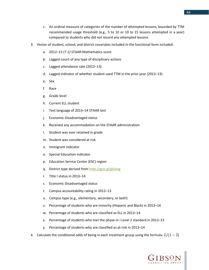- c. An ordinal measure of categories of the number of attempted lessons, bounded by TTM recommended usage threshold (e.g., 5 to 10 or 10 to 15 lessons attempted in a year) compared to students who did not record any attempted lessons
- 3. Vector of student, school, and district covariates included in the functional form included:
	- a. 2012–13 (*T-1)* STAAR-Mathematics score
	- b. Lagged count of any type of disciplinary actions
	- c. Lagged attendance rate (2012–13)
	- d. Lagged indicator of whether student used TTM in the prior year (2012–13)
	- e. Sex
	- f. Race
	- g. Grade level
	- h. Current ELL student
	- i. Test language of 2013–14 STAAR test
	- j. Economic Disadvantaged status
	- k. Received any accommodation on the STAAR administration
	- l. Student was ever retained in grade
	- m. Student was considered at risk
	- n. Immigrant indicator
	- o. Special Education indicator
	- p. Education Service Center (ESC) region
	- q. District type derived from<http://goo.gl/gSoiog>
	- r. Title I status in 2013–14
	- s. Economic Disadvantaged status
	- t. Campus accountability rating in 2012–13
	- u. Campus type (e.g., elementary, secondary, or both)
	- v. Percentage of students who are minority (Hispanic and Black) in 2013–14
	- w. Percentage of students who are classified as ELL in 2013–14
	- x. Percentage of students who met the phase-in I Level 2 standard in 2012–13
	- y. Percentage of students who are classified as at-risk in 2013–14
- 4. Calculate the conditional odds of being in each treatment group using the formula:  $\hat{\lambda}/(1-\hat{\lambda})$

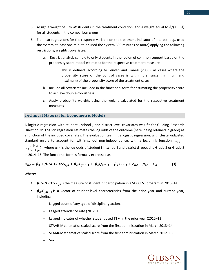- 5. Assign a weight of 1 to *all* students in the treatment condition, and a weight equal to  $\hat{\lambda}/(1-\hat{\lambda})$ for all students in the comparison group
- 6. Fit linear regressions for the response variable on the treatment indicator of interest (e.g., used the system at least one minute or used the system 500 minutes or more) applying the following restrictions, weights, covariates:
	- a. Restrict analytic sample to only students in the region of common support based on the propensity score model estimated for the respective treatment measure
		- i. This is defined, according to Leuven and Sianesi (2003), as cases where the propensity score of the control cases is within the range (minimum and maximum) of the propensity score of the treatment cases.
	- b. Include all covariates included in the functional form for estimating the propensity score to achieve double-robustness
	- c. Apply probability weights using the weight calculated for the respective treatment measures

#### **Technical Material for Econometric Models**

A logistic regression with student-, school-, and district-level covariates was fit for Guiding Research Question 2b. Logistic regression estimates the log odds of the outcome (here, being retained in grade) as a function of the included covariates. The evaluation team fit a logistic regression, with cluster-adjusted standard errors to account for within-school non-independence, with a logit link function ( $n_{tid}$  =  $log(\frac{\Phi_{ijd}}{1-\Phi_{ijd}})$ ), where  $n_{ijd}$  is the log-odds of student i in school j and district d repeating Grade 5 or Grade 8 in 2014–15. The functional form is formally expressed as

$$
n_{ijd} = \beta_0 + \beta_1 SUCCESS_{ijd} + \beta_k X_{ijdt-1} + \beta_k Q_{jdt-1} + \beta_k Y_{dt-1} + e_{ijd} + \mu_{jd} + \nu_d
$$
 (3)

Where:

- $\beta_1 SUCCES_{ijd}$  is the measure of student *I's* participation in a SUCCESS program in 2013–14
- $\bullet$   $\beta_k X_{ijdt-1}$  is a vector of student-level characteristics from the prior year and current year, including
	- Lagged count of any type of disciplinary actions
	- Lagged attendance rate (2012–13)
	- Lagged indicator of whether student used TTM in the prior year (2012–13)
	- STAAR-Mathematics scaled score from the first administration in March 2013–14
	- STAAR-Mathematics scaled score from the first administration in March 2012–13
	- Sex

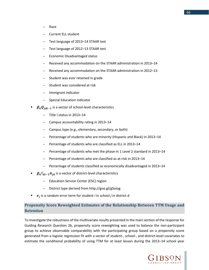- Race
- Current ELL student
- Test language of 2013–14 STAAR test
- Test language of 2012–13 STAAR test
- Economic Disadvantaged status
- Received any accommodation on the STAAR administration in 2013–14
- Received any accommodation on the STAAR administration in 2012–13
- Student was ever retained in grade
- Student was considered at risk
- Immigrant indicator
- Special Education indicator
- $\beta_k Q_{idt-1}$  is a vector of school-level characteristics
	- Title I status in 2013–14
	- Campus accountability rating in 2013–14
	- Campus type (e.g., elementary, secondary, or both)
	- Percentage of students who are minority (Hispanic and Black) in 2013–14
	- Percentage of students who are classified as ELL in 2013-14
	- Percentage of students who met the phase-in 1 Level 2 standard in 2013–14
	- Percentage of students who are classified as at-risk in 2013–14
	- Percentage of students classified as economically disadvantaged in 2013–14
- $\beta_k Y_{dt-1} \pi_{id}$  is a vector of district-level characteristics
	- Education Service Center (ESC) region
	- District type derived from<http://goo.gl/gSoiog>
- is a random error term for student *i* in school *j* in district *d*

## **Propensity Score Reweighted Estimates of the Relationship Between TTM Usage and Retention**

To investigate the robustness of the multivariate results presented in the main section of the response for Guiding Research Question 2b, propensity score reweighting was used to balance the non-participant group to achieve observable comparability with the participating group based on a propensity score generated from a logistic regression fit with a vector of student-, school-, and district-level covariates to estimate the conditional probability of using TTM for at least lesson during the 2013–14 school year

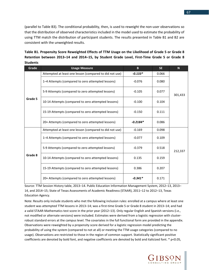(parallel to Table B3). The conditional probability, then, is used to reweight the non-user observations so that the distribution of observed characteristics included in the model used to estimate the probability of using TTM match the distribution of participant students. The results presented in Table B1 and B2 are consistent with the unweighted results.

| Grade   | <b>Usage Measure</b>                                    | B          | <b>SE</b> | N       |
|---------|---------------------------------------------------------|------------|-----------|---------|
| Grade 5 | Attempted at least one lesson (compared to did not use) | $-0.133*$  | 0.066     |         |
|         | 1–4 Attempts (compared to zero attempted lessons)       | $-0.076$   | 0.080     |         |
|         | 5-9 Attempts (compared to zero attempted lessons)       | $-0.105$   | 0.077     | 301,433 |
|         | 10-14 Attempts (compared to zero attempted lessons)     | $-0.100$   | 0.104     |         |
|         | 15-19 Attempts (compared to zero attempted lessons)     | $-0.150$   | 0.111     |         |
|         | 20+ Attempts (compared to zero attempted lessons)       | $-0.2184*$ | 0.086     |         |
|         | Attempted at least one lesson (compared to did not use) | $-0.169$   | 0.098     |         |
|         | 1–4 Attempts (compared to zero attempted lessons)       | $-0.077$   | 0.109     |         |
|         | 5-9 Attempts (compared to zero attempted lessons)       | $-0.379$   | 0.518     | 212,337 |
| Grade 8 | 10-14 Attempts (compared to zero attempted lessons)     | 0.135      | 0.159     |         |
|         | 15-19 Attempts (compared to zero attempted lessons)     | 0.386      | 0.207     |         |
|         | 20+ Attempts (compared to zero attempted lessons)       | $-0.341*$  | 0.171     |         |

**Table B1. Propensity Score Reweighted Effects of TTM Usage on the Likelihood of Grade 5 or Grade 8 Retention between 2013–14 and 2014–15, by Student Grade Level, First-Time Grade 5 or Grade 8 Students**

Source: TTM Session History table, 2013–14. Public Education Information Management System, 2012–13, 2013– 14, and 2014–15; State of Texas Assessments of Academic Readiness (STAAR), 2011–12 to 2012–13, Texas Education Agency.

Note: Results only include students who met the following inclusion rules: enrolled at a campus where at least one student was attempted TTM lessons in 2013–14; was a first-time Grade 5 or Grade 8 student in 2013–14; and had a valid STAAR-Mathematics test score in the prior year (2012–13). Only regular English and Spanish versions (i.e., not modified or alternate versions) were included. Estimates were derived from a logistic regression with clusterrobust standard errors at the campus level. The covariates in the full functional form are provided in the appendix. Observations were reweighted by a propensity score derived for a logistic regression model predicting the probability of using the system (compared to not at all) or meeting the TTM usage categories (compared to no usage). Observations are restricted to those in the region of common support. Statistically significant positive coefficients are denoted by bold font, and negative coefficients are denoted by bold and italicized font. \* p<0.05,

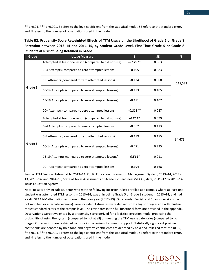\*\* p<0.01, \*\*\* p<0.001. B refers to the logit coefficient from the statistical model, SE refers to the standard error, and N refers to the number of observations used in the model.

| Table B2. Propensity Score Reweighted Effects of TTM Usage on the Likelihood of Grade 5 or Grade 8 |  |
|----------------------------------------------------------------------------------------------------|--|
| Retention between 2013-14 and 2014-15, by Student Grade Level, First-Time Grade 5 or Grade 8       |  |
| <b>Students at Risk of Being Retained in Grade</b>                                                 |  |

| Grade   | <b>Usage Measure</b>                                    | B.         | SE.   | N <sub>1</sub> |
|---------|---------------------------------------------------------|------------|-------|----------------|
| Grade 5 | Attempted at least one lesson (compared to did not use) | $-0.173**$ | 0.063 |                |
|         | 1-4 Attempts (compared to zero attempted lessons)       | $-0.105$   | 0.083 |                |
|         | 5-9 Attempts (compared to zero attempted lessons)       | $-0.134$   | 0.080 | 118,522        |
|         | 10-14 Attempts (compared to zero attempted lessons)     | $-0.183$   | 0.105 |                |
|         | 15-19 Attempts (compared to zero attempted lessons)     | $-0.181$   | 0.107 |                |
|         | 20+ Attempts (compared to zero attempted lessons)       | $-0.228**$ | 0.087 |                |
| Grade 8 | Attempted at least one lesson (compared to did not use) | $-0.201*$  | 0.099 |                |
|         | 1–4 Attempts (compared to zero attempted lessons)       | $-0.062$   | 0.113 |                |
|         | 5-9 Attempts (compared to zero attempted lessons)       | $-0.189$   | 0.175 | 84,676         |
|         | 10-14 Attempts (compared to zero attempted lessons)     | $-0.471$   | 0.295 |                |
|         | 15-19 Attempts (compared to zero attempted lessons)     | $-0.514*$  | 0.211 |                |
|         | 20+ Attempts (compared to zero attempted lessons)       | $-0.194$   | 0.168 |                |

Source: TTM Session History table, 2013–14. Public Education Information Management System, 2013–14, 2012– 13, 2013–14, and 2014–15; State of Texas Assessments of Academic Readiness (STAAR) data, 2011–12 to 2013–14, Texas Education Agency.

Note: Results only include students who met the following inclusion rules: enrolled at a campus where at least one student was attempted TTM lessons in 2013–14; was a first-time Grade 5 or Grade 8 student in 2013–14; and had a valid STAAR-Mathematics test score in the prior year (2012–13). Only regular English and Spanish versions (i.e., not modified or alternate versions) were included. Estimates were derived from a logistic regression with clusterrobust standard errors at the campus level. The covariates in the full functional form are provided in the appendix. Observations were reweighted by a propensity score derived for a logistic regression model predicting the probability of using the system (compared to not at all) or meeting the TTM usage categories (compared to no usage). Observations are restricted to those in the region of common support. Statistically significant positive coefficients are denoted by bold font, and negative coefficients are denoted by bold and italicized font. \* p<0.05, \*\* p<0.01, \*\*\* p<0.001. B refers to the logit coefficient from the statistical model, SE refers to the standard error, and N refers to the number of observations used in the model.

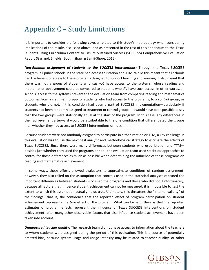# Appendix C – Study Limitations

It is important to consider the following caveats related to this study's methodology when considering implications of the results discussed above, and as presented in the rest of this addendum to the Texas Students Using Curriculum Content to Ensure Sustained Success (SUCCESS) Comprehensive Evaluation Report (Garland, Shields, Booth, Shaw & Samii-Shore, 2015).

*Non-Random assignment of students to the SUCCESS interventions:* Through the Texas SUCCESS program, all public schools in the state had access to Istation and TTM. While this meant that all schools had the benefit of access to these programs designed to support teaching and learning, it also meant that there was not a group of students who *did not* have access to the systems, whose reading and mathematics achievement could be compared to students who *did* have such access. In other words, all schools' access to the systems prevented the evaluation team from comparing reading and mathematics outcomes from a *treatment group*, or students who had access to the programs, to a *control group*, or students who did not. If this condition had been a part of SUCCESS implementation—particularly if students had been randomly assigned to treatment or control groups—it would have been possible to say that the two groups were statistically equal at the start of the program. In this case, any differences in their achievement afterward would be attributable to the one condition that differentiated the groups (i.e., whether they had access to SUCCESS interventions or not).

Because students were not randomly assigned to participate in either Istation or TTM, a key challenge in this evaluation was to use the next best analytic and methodological strategy to estimate the effects of Texas SUCCESS. Since there were many differences between students who used Istation and TTM besides just whether they used the programs or not—the evaluation team used statistical approaches to control for those differences as much as possible when determining the influence of these programs on reading and mathematics achievement.

In some ways, these efforts allowed evaluators to approximate conditions of random assignment; however, they also relied on the assumption that controls used in the statistical analyses captured the important differences between students who used the programs and those who did not. Unfortunately, because all factors that influence student achievement cannot be measured, it is impossible to test the extent to which this assumption actually holds true. Ultimately, this threatens the "internal validity" of the findings—that is, the confidence that the reported effect of program participation on student achievement represents the *true* effect of the program. What can be said, then, is that the reported estimates of program effects represent the influence of Texas SUCCESS interventions on student achievement, after many other observable factors that also influence student achievement have been taken into account.

*Unmeasured teacher quality:* The research team did not have access to information about the teachers to whom students were assigned during the period of this evaluation. This is a source of potentially omitted bias, because system usage and usage intensity may be related to teacher quality, or other

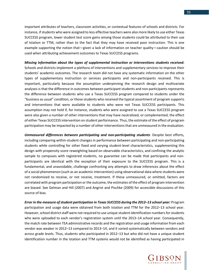important attributes of teachers, classroom activities, or contextual features of schools and districts. For instance, if students who were assigned to less effective teachers were also more likely to use either Texas SUCCESS program, lower student test score gains among those students could be attributed to their use of Istation or TTM, rather than to the fact that they may have received poor instruction. This is one example supporting the notion that—given a lack of information on teacher quality—caution should be used when attributing achievement outcomes to Texas SUCCESS programs.

*Missing information about the types of supplemental instruction or interventions students received:* Schools and districts implement a plethora of interventions and supplementary services to improve their students' academic outcomes. The research team did not have any systematic information on the other types of supplementary instruction or services participants and non-participants received. This is important, particularly because the assumption underpinning the research design and multivariate analyses is that the difference in outcomes between participant students and non-participants represents the difference between students who use a Texas SUCCESS program compared to students under the "business as usual" condition, or those students who received the typical assortment of program supports and interventions that were available to students who were not Texas SUCCESS participants. This assumption may not hold if, for instance, students who were assigned to use a Texas SUCCESS program were also given a number of other interventions that may have neutralized, or complemented, the effect of either Texas SUCCESS intervention on student performance. Thus, the estimate of the effect of program participation may be impacted by a number of other interventions that are unmeasured in the evaluation.

*Unmeasured differences between participating and non-participating students*: Despite best efforts, including comparing within-student changes in performance between participating and non-participating students while controlling for other fixed and varying student-level characteristics, supplementing this design with propensity score reweighting based on observable characteristics, and confining the analytic sample to campuses with registered students, no guarantee can be made that participants and nonparticipants are identical with the exception of their exposure to the SUCCESS program. This is a fundamental, and unavoidable, challenge confronting any attempts to draw inferences about the effect of a social phenomenon (such as an academic intervention) using observational data where students were not randomized to receive, or not receive, treatment. If these unmeasured, or omitted, factors are correlated with program participation or the outcome, the estimates of the effect of program intervention are biased. See Gelman and Hill (2007) and Angrist and Pischke (2009) for accessible discussions of this source of bias.

*Error in the measure of student participation in Texas SUCCESS during the 2012–13 school year:* Program participation and usage data were obtained from both Istation and TTM for the 2012–13 school year. However, school district staff were not required to use unique student identification numbers for students who were uploaded to each vendor's registration system until the 2013–14 school year. Consequently, the match rate between TEA administrative records and the registration and usage information from each vendor was weaker in 2012–13 compared to 2013–14, and it varied systematically between vendors and across grade levels. Thus, students who participated in 2012–13 but who did not have a unique student identification number in the Istation and TTM systems would not be identified as having participated in

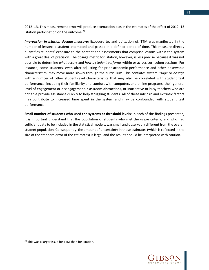2012–13. This measurement error will produce attenuation bias in the estimates of the effect of 2012–13 Istation participation on the outcome.<sup>[34](#page-72-0)</sup>

*Imprecision in Istation dosage measure:* Exposure to, and utilization of, TTM was manifested in the number of lessons a student attempted and passed in a defined period of time. This measure directly quantifies students' exposure to the content and assessments that comprise lessons within the system with a great deal of precision. The dosage metric for Istation, however, is less precise because it was not possible to determine *what occurs* and *how a student performs* within or across curriculum sessions. For instance, some students, even after adjusting for prior academic performance and other observable characteristics, may move more slowly through the curriculum. This conflates system *usage* or *dosage* with a number of other student-level characteristics that may also be correlated with student test performance, including their familiarity and comfort with computers and online programs, their general level of engagement or disengagement, classroom distractions, or inattentive or busy teachers who are not able provide assistance quickly to help struggling students. All of these intrinsic and extrinsic factors may contribute to increased time spent in the system and may be confounded with student test performance.

**Small number of students who used the systems at threshold levels**: In each of the findings presented, it is important understand that the population of students who met the usage criteria, and who had sufficient data to be included in the statistical models, was small and observably different from the overall student population. Consequently, the amount of uncertainty in these estimates (which is reflected in the size of the standard error of the estimates) is large, and the results should be interpreted with caution.

l



<span id="page-72-0"></span><sup>&</sup>lt;sup>34</sup> This was a larger issue for TTM than for Istation.